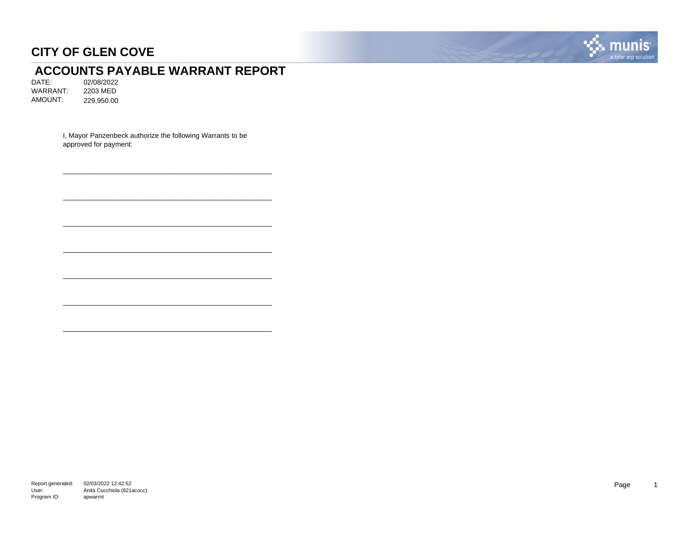

# **ACCOUNTS PAYABLE WARRANT REPORT**<br>DATE: 02/08/2022

02/08/2022<br>2203 MED WARRANT: AMOUNT: 229,950.00

> I, Mayor Panzenbeck authorize the following Warrants to be approved for payment:

\_\_\_\_\_\_\_\_\_\_\_\_\_\_\_\_\_\_\_\_\_\_\_\_\_\_\_\_\_\_\_\_\_\_\_\_\_\_\_\_\_\_\_\_\_\_\_\_\_\_\_\_\_\_

\_\_\_\_\_\_\_\_\_\_\_\_\_\_\_\_\_\_\_\_\_\_\_\_\_\_\_\_\_\_\_\_\_\_\_\_\_\_\_\_\_\_\_\_\_\_\_\_\_\_\_\_\_\_

\_\_\_\_\_\_\_\_\_\_\_\_\_\_\_\_\_\_\_\_\_\_\_\_\_\_\_\_\_\_\_\_\_\_\_\_\_\_\_\_\_\_\_\_\_\_\_\_\_\_\_\_\_\_

\_\_\_\_\_\_\_\_\_\_\_\_\_\_\_\_\_\_\_\_\_\_\_\_\_\_\_\_\_\_\_\_\_\_\_\_\_\_\_\_\_\_\_\_\_\_\_\_\_\_\_\_\_\_

\_\_\_\_\_\_\_\_\_\_\_\_\_\_\_\_\_\_\_\_\_\_\_\_\_\_\_\_\_\_\_\_\_\_\_\_\_\_\_\_\_\_\_\_\_\_\_\_\_\_\_\_\_\_

\_\_\_\_\_\_\_\_\_\_\_\_\_\_\_\_\_\_\_\_\_\_\_\_\_\_\_\_\_\_\_\_\_\_\_\_\_\_\_\_\_\_\_\_\_\_\_\_\_\_\_\_\_\_

\_\_\_\_\_\_\_\_\_\_\_\_\_\_\_\_\_\_\_\_\_\_\_\_\_\_\_\_\_\_\_\_\_\_\_\_\_\_\_\_\_\_\_\_\_\_\_\_\_\_\_\_\_\_

Report generated: 02/03/2022 12:42:52 User: Program ID: Anita Cocchiola (821acocc) apwarrnt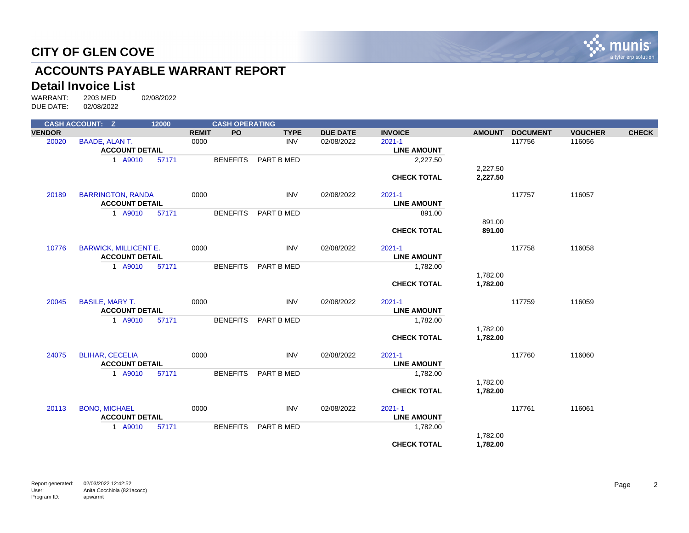

# **ACCOUNTS PAYABLE WARRANT REPORT**

# **Detail Invoice List**<br>WARRANT: 2203 MED

|               | <b>CASH ACCOUNT: Z</b>       | 12000 |              | <b>CASH OPERATING</b> |             |                 |                    |               |                 |                |              |
|---------------|------------------------------|-------|--------------|-----------------------|-------------|-----------------|--------------------|---------------|-----------------|----------------|--------------|
| <b>VENDOR</b> |                              |       | <b>REMIT</b> | <b>PO</b>             | <b>TYPE</b> | <b>DUE DATE</b> | <b>INVOICE</b>     | <b>AMOUNT</b> | <b>DOCUMENT</b> | <b>VOUCHER</b> | <b>CHECK</b> |
| 20020         | <b>BAADE, ALAN T.</b>        |       | 0000         |                       | <b>INV</b>  | 02/08/2022      | $2021 - 1$         |               | 117756          | 116056         |              |
|               | <b>ACCOUNT DETAIL</b>        |       |              |                       |             |                 | <b>LINE AMOUNT</b> |               |                 |                |              |
|               | 1 A9010                      | 57171 |              | <b>BENEFITS</b>       | PART B MED  |                 | 2,227.50           |               |                 |                |              |
|               |                              |       |              |                       |             |                 |                    | 2,227.50      |                 |                |              |
|               |                              |       |              |                       |             |                 | <b>CHECK TOTAL</b> | 2,227.50      |                 |                |              |
| 20189         | <b>BARRINGTON, RANDA</b>     |       | 0000         |                       | <b>INV</b>  | 02/08/2022      | $2021 - 1$         |               | 117757          | 116057         |              |
|               | <b>ACCOUNT DETAIL</b>        |       |              |                       |             |                 | <b>LINE AMOUNT</b> |               |                 |                |              |
|               | 1 A9010                      | 57171 |              | <b>BENEFITS</b>       | PART B MED  |                 | 891.00             |               |                 |                |              |
|               |                              |       |              |                       |             |                 |                    | 891.00        |                 |                |              |
|               |                              |       |              |                       |             |                 | <b>CHECK TOTAL</b> | 891.00        |                 |                |              |
| 10776         | <b>BARWICK, MILLICENT E.</b> |       | 0000         |                       | <b>INV</b>  | 02/08/2022      | $2021 - 1$         |               | 117758          | 116058         |              |
|               | <b>ACCOUNT DETAIL</b>        |       |              |                       |             |                 | <b>LINE AMOUNT</b> |               |                 |                |              |
|               | 1 A9010                      | 57171 |              | <b>BENEFITS</b>       | PART B MED  |                 | 1,782.00           |               |                 |                |              |
|               |                              |       |              |                       |             |                 |                    | 1,782.00      |                 |                |              |
|               |                              |       |              |                       |             |                 | <b>CHECK TOTAL</b> | 1,782.00      |                 |                |              |
| 20045         | <b>BASILE, MARY T.</b>       |       | 0000         |                       | <b>INV</b>  | 02/08/2022      | $2021 - 1$         |               | 117759          | 116059         |              |
|               | <b>ACCOUNT DETAIL</b>        |       |              |                       |             |                 | <b>LINE AMOUNT</b> |               |                 |                |              |
|               | 1 A9010                      | 57171 |              | <b>BENEFITS</b>       | PART B MED  |                 | 1,782.00           |               |                 |                |              |
|               |                              |       |              |                       |             |                 |                    | 1,782.00      |                 |                |              |
|               |                              |       |              |                       |             |                 | <b>CHECK TOTAL</b> | 1,782.00      |                 |                |              |
| 24075         | <b>BLIHAR, CECELIA</b>       |       | 0000         |                       | <b>INV</b>  | 02/08/2022      | $2021 - 1$         |               | 117760          | 116060         |              |
|               | <b>ACCOUNT DETAIL</b>        |       |              |                       |             |                 | <b>LINE AMOUNT</b> |               |                 |                |              |
|               | 1 A9010                      | 57171 |              | <b>BENEFITS</b>       | PART B MED  |                 | 1,782.00           |               |                 |                |              |
|               |                              |       |              |                       |             |                 |                    | 1,782.00      |                 |                |              |
|               |                              |       |              |                       |             |                 | <b>CHECK TOTAL</b> | 1,782.00      |                 |                |              |
| 20113         | <b>BONO, MICHAEL</b>         |       | 0000         |                       | INV         | 02/08/2022      | $2021 - 1$         |               | 117761          | 116061         |              |
|               | <b>ACCOUNT DETAIL</b>        |       |              |                       |             |                 | <b>LINE AMOUNT</b> |               |                 |                |              |
|               | 1 A9010                      | 57171 |              | <b>BENEFITS</b>       | PART B MED  |                 | 1,782.00           |               |                 |                |              |
|               |                              |       |              |                       |             |                 |                    | 1,782.00      |                 |                |              |
|               |                              |       |              |                       |             |                 | <b>CHECK TOTAL</b> | 1,782.00      |                 |                |              |
|               |                              |       |              |                       |             |                 |                    |               |                 |                |              |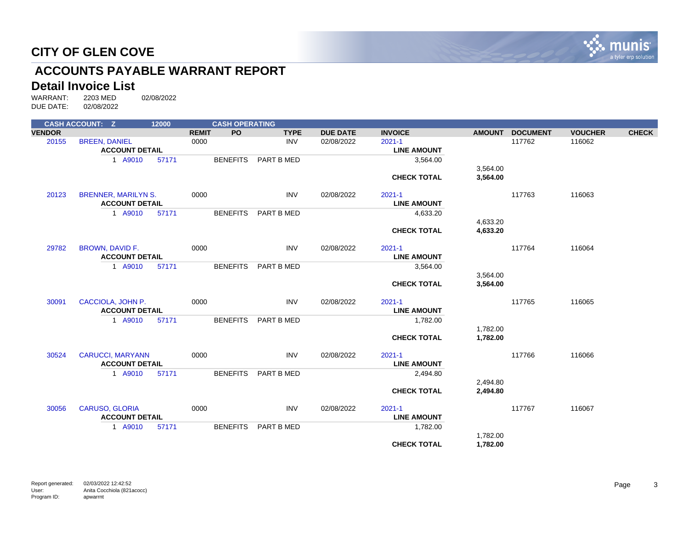

# **ACCOUNTS PAYABLE WARRANT REPORT**

# **Detail Invoice List**<br>WARRANT: 2203 MED

|               | <b>CASH ACCOUNT: Z</b>     | 12000 |              | <b>CASH OPERATING</b> |             |                 |                    |               |                 |                |              |
|---------------|----------------------------|-------|--------------|-----------------------|-------------|-----------------|--------------------|---------------|-----------------|----------------|--------------|
| <b>VENDOR</b> |                            |       | <b>REMIT</b> | <b>PO</b>             | <b>TYPE</b> | <b>DUE DATE</b> | <b>INVOICE</b>     | <b>AMOUNT</b> | <b>DOCUMENT</b> | <b>VOUCHER</b> | <b>CHECK</b> |
| 20155         | <b>BREEN, DANIEL</b>       |       | 0000         |                       | <b>INV</b>  | 02/08/2022      | $2021 - 1$         |               | 117762          | 116062         |              |
|               | <b>ACCOUNT DETAIL</b>      |       |              |                       |             |                 | <b>LINE AMOUNT</b> |               |                 |                |              |
|               | 1 A9010                    | 57171 |              | <b>BENEFITS</b>       | PART B MED  |                 | 3,564.00           |               |                 |                |              |
|               |                            |       |              |                       |             |                 |                    | 3,564.00      |                 |                |              |
|               |                            |       |              |                       |             |                 | <b>CHECK TOTAL</b> | 3,564.00      |                 |                |              |
|               |                            |       |              |                       |             |                 |                    |               |                 |                |              |
| 20123         | <b>BRENNER, MARILYN S.</b> |       | 0000         |                       | <b>INV</b>  | 02/08/2022      | $2021 - 1$         |               | 117763          | 116063         |              |
|               | <b>ACCOUNT DETAIL</b>      |       |              |                       |             |                 | <b>LINE AMOUNT</b> |               |                 |                |              |
|               | 1 A9010                    | 57171 |              | <b>BENEFITS</b>       | PART B MED  |                 | 4,633.20           |               |                 |                |              |
|               |                            |       |              |                       |             |                 |                    | 4,633.20      |                 |                |              |
|               |                            |       |              |                       |             |                 | <b>CHECK TOTAL</b> | 4,633.20      |                 |                |              |
|               |                            |       |              |                       |             |                 |                    |               |                 |                |              |
| 29782         | <b>BROWN, DAVID F.</b>     |       | 0000         |                       | <b>INV</b>  | 02/08/2022      | $2021 - 1$         |               | 117764          | 116064         |              |
|               | <b>ACCOUNT DETAIL</b>      |       |              |                       |             |                 | <b>LINE AMOUNT</b> |               |                 |                |              |
|               | 1 A9010                    | 57171 |              | <b>BENEFITS</b>       | PART B MED  |                 | 3,564.00           |               |                 |                |              |
|               |                            |       |              |                       |             |                 |                    | 3,564.00      |                 |                |              |
|               |                            |       |              |                       |             |                 | <b>CHECK TOTAL</b> | 3,564.00      |                 |                |              |
|               |                            |       |              |                       |             |                 |                    |               |                 |                |              |
| 30091         | CACCIOLA, JOHN P.          |       | 0000         |                       | <b>INV</b>  | 02/08/2022      | $2021 - 1$         |               | 117765          | 116065         |              |
|               | <b>ACCOUNT DETAIL</b>      |       |              |                       |             |                 | <b>LINE AMOUNT</b> |               |                 |                |              |
|               | 1 A9010                    | 57171 |              | <b>BENEFITS</b>       | PART B MED  |                 | 1,782.00           |               |                 |                |              |
|               |                            |       |              |                       |             |                 |                    | 1,782.00      |                 |                |              |
|               |                            |       |              |                       |             |                 | <b>CHECK TOTAL</b> | 1,782.00      |                 |                |              |
| 30524         | <b>CARUCCI, MARYANN</b>    |       | 0000         |                       | <b>INV</b>  | 02/08/2022      | $2021 - 1$         |               | 117766          | 116066         |              |
|               | <b>ACCOUNT DETAIL</b>      |       |              |                       |             |                 | <b>LINE AMOUNT</b> |               |                 |                |              |
|               | 1 A9010                    | 57171 |              | <b>BENEFITS</b>       | PART B MED  |                 |                    |               |                 |                |              |
|               |                            |       |              |                       |             |                 | 2,494.80           | 2,494.80      |                 |                |              |
|               |                            |       |              |                       |             |                 | <b>CHECK TOTAL</b> | 2,494.80      |                 |                |              |
|               |                            |       |              |                       |             |                 |                    |               |                 |                |              |
| 30056         | <b>CARUSO, GLORIA</b>      |       | 0000         |                       | <b>INV</b>  | 02/08/2022      | $2021 - 1$         |               | 117767          | 116067         |              |
|               | <b>ACCOUNT DETAIL</b>      |       |              |                       |             |                 | <b>LINE AMOUNT</b> |               |                 |                |              |
|               | 1 A9010                    | 57171 |              | <b>BENEFITS</b>       | PART B MED  |                 | 1,782.00           |               |                 |                |              |
|               |                            |       |              |                       |             |                 |                    | 1,782.00      |                 |                |              |
|               |                            |       |              |                       |             |                 | <b>CHECK TOTAL</b> | 1,782.00      |                 |                |              |
|               |                            |       |              |                       |             |                 |                    |               |                 |                |              |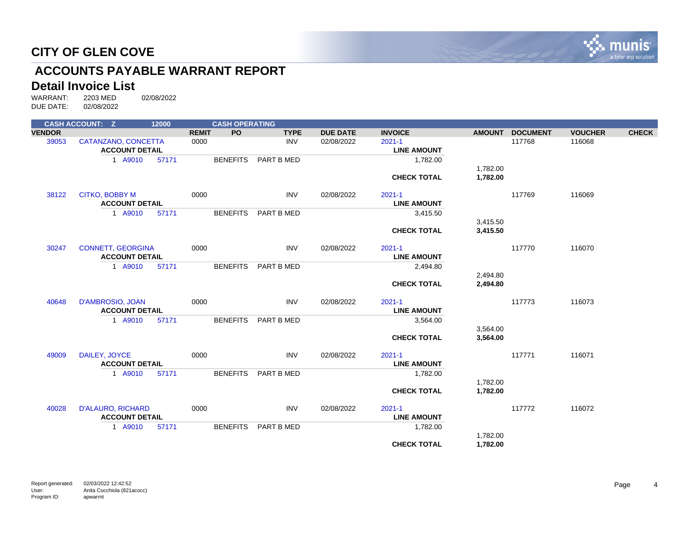

# **ACCOUNTS PAYABLE WARRANT REPORT**

# **Detail Invoice List**<br>WARRANT: 2203 MED

|               | <b>CASH ACCOUNT: Z</b>   | 12000 |              | <b>CASH OPERATING</b> |             |                 |                    |               |                 |                |              |
|---------------|--------------------------|-------|--------------|-----------------------|-------------|-----------------|--------------------|---------------|-----------------|----------------|--------------|
| <b>VENDOR</b> |                          |       | <b>REMIT</b> | <b>PO</b>             | <b>TYPE</b> | <b>DUE DATE</b> | <b>INVOICE</b>     | <b>AMOUNT</b> | <b>DOCUMENT</b> | <b>VOUCHER</b> | <b>CHECK</b> |
| 39053         | CATANZANO, CONCETTA      |       | 0000         |                       | <b>INV</b>  | 02/08/2022      | $2021 - 1$         |               | 117768          | 116068         |              |
|               | <b>ACCOUNT DETAIL</b>    |       |              |                       |             |                 | <b>LINE AMOUNT</b> |               |                 |                |              |
|               | 1 A9010                  | 57171 |              | <b>BENEFITS</b>       | PART B MED  |                 | 1,782.00           |               |                 |                |              |
|               |                          |       |              |                       |             |                 |                    | 1,782.00      |                 |                |              |
|               |                          |       |              |                       |             |                 | <b>CHECK TOTAL</b> | 1,782.00      |                 |                |              |
| 38122         | <b>CITKO, BOBBY M</b>    |       | 0000         |                       | <b>INV</b>  | 02/08/2022      | $2021 - 1$         |               | 117769          | 116069         |              |
|               | <b>ACCOUNT DETAIL</b>    |       |              |                       |             |                 | <b>LINE AMOUNT</b> |               |                 |                |              |
|               | 1 A9010                  | 57171 |              | <b>BENEFITS</b>       | PART B MED  |                 | 3,415.50           |               |                 |                |              |
|               |                          |       |              |                       |             |                 |                    | 3,415.50      |                 |                |              |
|               |                          |       |              |                       |             |                 | <b>CHECK TOTAL</b> | 3,415.50      |                 |                |              |
| 30247         | <b>CONNETT, GEORGINA</b> |       | 0000         |                       | <b>INV</b>  | 02/08/2022      | $2021 - 1$         |               | 117770          | 116070         |              |
|               | <b>ACCOUNT DETAIL</b>    |       |              |                       |             |                 | <b>LINE AMOUNT</b> |               |                 |                |              |
|               | 1 A9010                  | 57171 |              | <b>BENEFITS</b>       | PART B MED  |                 | 2,494.80           |               |                 |                |              |
|               |                          |       |              |                       |             |                 |                    | 2,494.80      |                 |                |              |
|               |                          |       |              |                       |             |                 | <b>CHECK TOTAL</b> | 2,494.80      |                 |                |              |
| 40648         | D'AMBROSIO, JOAN         |       | 0000         |                       | <b>INV</b>  | 02/08/2022      | $2021 - 1$         |               | 117773          | 116073         |              |
|               | <b>ACCOUNT DETAIL</b>    |       |              |                       |             |                 | <b>LINE AMOUNT</b> |               |                 |                |              |
|               | 1 A9010                  | 57171 |              | <b>BENEFITS</b>       | PART B MED  |                 | 3,564.00           |               |                 |                |              |
|               |                          |       |              |                       |             |                 |                    | 3,564.00      |                 |                |              |
|               |                          |       |              |                       |             |                 | <b>CHECK TOTAL</b> | 3,564.00      |                 |                |              |
| 49009         | DAILEY, JOYCE            |       | 0000         |                       | <b>INV</b>  | 02/08/2022      | $2021 - 1$         |               | 117771          | 116071         |              |
|               | <b>ACCOUNT DETAIL</b>    |       |              |                       |             |                 | <b>LINE AMOUNT</b> |               |                 |                |              |
|               | 1 A9010                  | 57171 |              | <b>BENEFITS</b>       | PART B MED  |                 | 1,782.00           |               |                 |                |              |
|               |                          |       |              |                       |             |                 |                    | 1,782.00      |                 |                |              |
|               |                          |       |              |                       |             |                 | <b>CHECK TOTAL</b> | 1,782.00      |                 |                |              |
| 40028         | <b>D'ALAURO, RICHARD</b> |       | 0000         |                       | INV         | 02/08/2022      | $2021 - 1$         |               | 117772          | 116072         |              |
|               | <b>ACCOUNT DETAIL</b>    |       |              |                       |             |                 | <b>LINE AMOUNT</b> |               |                 |                |              |
|               | 1 A9010                  | 57171 |              | <b>BENEFITS</b>       | PART B MED  |                 | 1,782.00           |               |                 |                |              |
|               |                          |       |              |                       |             |                 |                    | 1,782.00      |                 |                |              |
|               |                          |       |              |                       |             |                 | <b>CHECK TOTAL</b> | 1,782.00      |                 |                |              |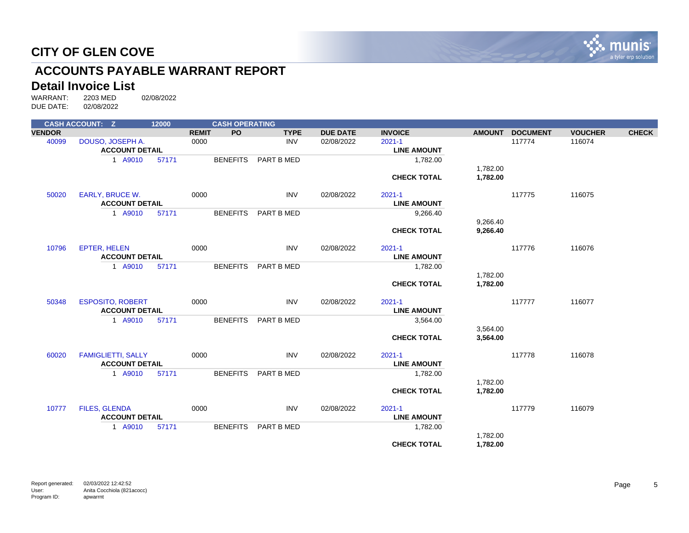

# **ACCOUNTS PAYABLE WARRANT REPORT**

# **Detail Invoice List**<br>WARRANT: 2203 MED

|               | <b>CASH ACCOUNT: Z</b>    | 12000 |              | <b>CASH OPERATING</b> |             |                 |                    |               |                 |                |              |
|---------------|---------------------------|-------|--------------|-----------------------|-------------|-----------------|--------------------|---------------|-----------------|----------------|--------------|
| <b>VENDOR</b> |                           |       | <b>REMIT</b> | <b>PO</b>             | <b>TYPE</b> | <b>DUE DATE</b> | <b>INVOICE</b>     | <b>AMOUNT</b> | <b>DOCUMENT</b> | <b>VOUCHER</b> | <b>CHECK</b> |
| 40099         | DOUSO, JOSEPH A.          |       | 0000         |                       | <b>INV</b>  | 02/08/2022      | $2021 - 1$         |               | 117774          | 116074         |              |
|               | <b>ACCOUNT DETAIL</b>     |       |              |                       |             |                 | <b>LINE AMOUNT</b> |               |                 |                |              |
|               | 1 A9010                   | 57171 |              | <b>BENEFITS</b>       | PART B MED  |                 | 1,782.00           |               |                 |                |              |
|               |                           |       |              |                       |             |                 |                    | 1,782.00      |                 |                |              |
|               |                           |       |              |                       |             |                 | <b>CHECK TOTAL</b> | 1,782.00      |                 |                |              |
| 50020         | <b>EARLY, BRUCE W.</b>    |       | 0000         |                       | <b>INV</b>  | 02/08/2022      | $2021 - 1$         |               | 117775          | 116075         |              |
|               | <b>ACCOUNT DETAIL</b>     |       |              |                       |             |                 | <b>LINE AMOUNT</b> |               |                 |                |              |
|               | 1 A9010                   | 57171 |              | <b>BENEFITS</b>       | PART B MED  |                 | 9,266.40           |               |                 |                |              |
|               |                           |       |              |                       |             |                 |                    | 9,266.40      |                 |                |              |
|               |                           |       |              |                       |             |                 | <b>CHECK TOTAL</b> | 9,266.40      |                 |                |              |
| 10796         | <b>EPTER, HELEN</b>       |       | 0000         |                       | <b>INV</b>  | 02/08/2022      | $2021 - 1$         |               | 117776          | 116076         |              |
|               | <b>ACCOUNT DETAIL</b>     |       |              |                       |             |                 | <b>LINE AMOUNT</b> |               |                 |                |              |
|               | 1 A9010                   | 57171 |              | <b>BENEFITS</b>       | PART B MED  |                 | 1,782.00           |               |                 |                |              |
|               |                           |       |              |                       |             |                 |                    | 1,782.00      |                 |                |              |
|               |                           |       |              |                       |             |                 | <b>CHECK TOTAL</b> | 1,782.00      |                 |                |              |
| 50348         | <b>ESPOSITO, ROBERT</b>   |       | 0000         |                       | <b>INV</b>  | 02/08/2022      | $2021 - 1$         |               | 117777          | 116077         |              |
|               | <b>ACCOUNT DETAIL</b>     |       |              |                       |             |                 | <b>LINE AMOUNT</b> |               |                 |                |              |
|               | 1 A9010                   | 57171 |              | <b>BENEFITS</b>       | PART B MED  |                 | 3,564.00           |               |                 |                |              |
|               |                           |       |              |                       |             |                 |                    | 3,564.00      |                 |                |              |
|               |                           |       |              |                       |             |                 | <b>CHECK TOTAL</b> | 3,564.00      |                 |                |              |
| 60020         | <b>FAMIGLIETTI, SALLY</b> |       | 0000         |                       | <b>INV</b>  | 02/08/2022      | $2021 - 1$         |               | 117778          | 116078         |              |
|               | <b>ACCOUNT DETAIL</b>     |       |              |                       |             |                 | <b>LINE AMOUNT</b> |               |                 |                |              |
|               | 1 A9010                   | 57171 |              | <b>BENEFITS</b>       | PART B MED  |                 | 1,782.00           |               |                 |                |              |
|               |                           |       |              |                       |             |                 |                    | 1,782.00      |                 |                |              |
|               |                           |       |              |                       |             |                 | <b>CHECK TOTAL</b> | 1,782.00      |                 |                |              |
| 10777         | <b>FILES, GLENDA</b>      |       | 0000         |                       | <b>INV</b>  | 02/08/2022      | $2021 - 1$         |               | 117779          | 116079         |              |
|               | <b>ACCOUNT DETAIL</b>     |       |              |                       |             |                 | <b>LINE AMOUNT</b> |               |                 |                |              |
|               | 1 A9010                   | 57171 |              | <b>BENEFITS</b>       | PART B MED  |                 | 1,782.00           |               |                 |                |              |
|               |                           |       |              |                       |             |                 |                    | 1,782.00      |                 |                |              |
|               |                           |       |              |                       |             |                 | <b>CHECK TOTAL</b> | 1,782.00      |                 |                |              |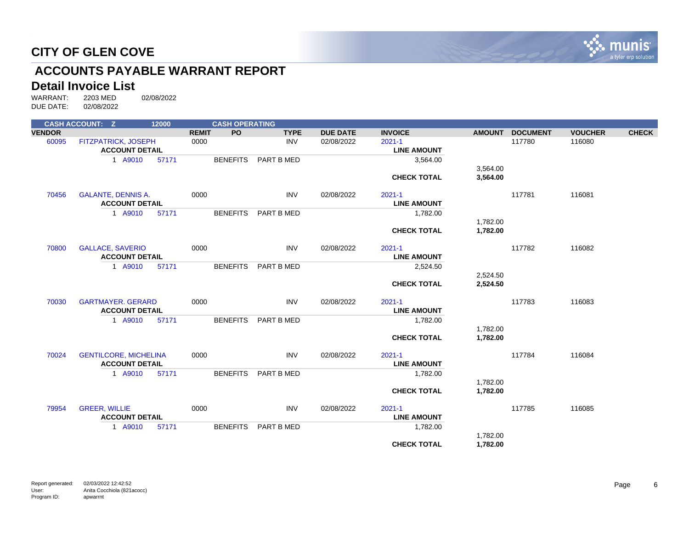

# **ACCOUNTS PAYABLE WARRANT REPORT**

# **Detail Invoice List**<br>WARRANT: 2203 MED

|               | <b>CASH ACCOUNT: Z</b>       | 12000 |              | <b>CASH OPERATING</b> |             |                 |                    |               |                 |                |              |
|---------------|------------------------------|-------|--------------|-----------------------|-------------|-----------------|--------------------|---------------|-----------------|----------------|--------------|
| <b>VENDOR</b> |                              |       | <b>REMIT</b> | <b>PO</b>             | <b>TYPE</b> | <b>DUE DATE</b> | <b>INVOICE</b>     | <b>AMOUNT</b> | <b>DOCUMENT</b> | <b>VOUCHER</b> | <b>CHECK</b> |
| 60095         | FITZPATRICK, JOSEPH          |       | 0000         |                       | <b>INV</b>  | 02/08/2022      | $2021 - 1$         |               | 117780          | 116080         |              |
|               | <b>ACCOUNT DETAIL</b>        |       |              |                       |             |                 | <b>LINE AMOUNT</b> |               |                 |                |              |
|               | 1 A9010                      | 57171 |              | <b>BENEFITS</b>       | PART B MED  |                 | 3,564.00           |               |                 |                |              |
|               |                              |       |              |                       |             |                 |                    | 3,564.00      |                 |                |              |
|               |                              |       |              |                       |             |                 | <b>CHECK TOTAL</b> | 3,564.00      |                 |                |              |
| 70456         | <b>GALANTE, DENNIS A.</b>    |       | 0000         |                       | <b>INV</b>  | 02/08/2022      | $2021 - 1$         |               | 117781          | 116081         |              |
|               | <b>ACCOUNT DETAIL</b>        |       |              |                       |             |                 | <b>LINE AMOUNT</b> |               |                 |                |              |
|               | 1 A9010                      | 57171 |              | <b>BENEFITS</b>       | PART B MED  |                 | 1,782.00           |               |                 |                |              |
|               |                              |       |              |                       |             |                 |                    | 1,782.00      |                 |                |              |
|               |                              |       |              |                       |             |                 | <b>CHECK TOTAL</b> | 1,782.00      |                 |                |              |
| 70800         | <b>GALLACE, SAVERIO</b>      |       | 0000         |                       | <b>INV</b>  | 02/08/2022      | $2021 - 1$         |               | 117782          | 116082         |              |
|               | <b>ACCOUNT DETAIL</b>        |       |              |                       |             |                 | <b>LINE AMOUNT</b> |               |                 |                |              |
|               | 1 A9010                      | 57171 |              | <b>BENEFITS</b>       | PART B MED  |                 | 2,524.50           |               |                 |                |              |
|               |                              |       |              |                       |             |                 |                    | 2,524.50      |                 |                |              |
|               |                              |       |              |                       |             |                 | <b>CHECK TOTAL</b> | 2,524.50      |                 |                |              |
| 70030         | <b>GARTMAYER, GERARD</b>     |       | 0000         |                       | <b>INV</b>  | 02/08/2022      | $2021 - 1$         |               | 117783          | 116083         |              |
|               | <b>ACCOUNT DETAIL</b>        |       |              |                       |             |                 | <b>LINE AMOUNT</b> |               |                 |                |              |
|               | 1 A9010                      | 57171 |              | <b>BENEFITS</b>       | PART B MED  |                 | 1,782.00           |               |                 |                |              |
|               |                              |       |              |                       |             |                 |                    | 1,782.00      |                 |                |              |
|               |                              |       |              |                       |             |                 | <b>CHECK TOTAL</b> | 1,782.00      |                 |                |              |
| 70024         | <b>GENTILCORE, MICHELINA</b> |       | 0000         |                       | <b>INV</b>  | 02/08/2022      | $2021 - 1$         |               | 117784          | 116084         |              |
|               | <b>ACCOUNT DETAIL</b>        |       |              |                       |             |                 | <b>LINE AMOUNT</b> |               |                 |                |              |
|               | 1 A9010                      | 57171 |              | <b>BENEFITS</b>       | PART B MED  |                 | 1,782.00           |               |                 |                |              |
|               |                              |       |              |                       |             |                 |                    | 1,782.00      |                 |                |              |
|               |                              |       |              |                       |             |                 | <b>CHECK TOTAL</b> | 1,782.00      |                 |                |              |
| 79954         | <b>GREER, WILLIE</b>         |       | 0000         |                       | <b>INV</b>  | 02/08/2022      | $2021 - 1$         |               | 117785          | 116085         |              |
|               | <b>ACCOUNT DETAIL</b>        |       |              |                       |             |                 | <b>LINE AMOUNT</b> |               |                 |                |              |
|               | 1 A9010                      | 57171 |              | <b>BENEFITS</b>       | PART B MED  |                 | 1,782.00           |               |                 |                |              |
|               |                              |       |              |                       |             |                 |                    | 1,782.00      |                 |                |              |
|               |                              |       |              |                       |             |                 | <b>CHECK TOTAL</b> | 1,782.00      |                 |                |              |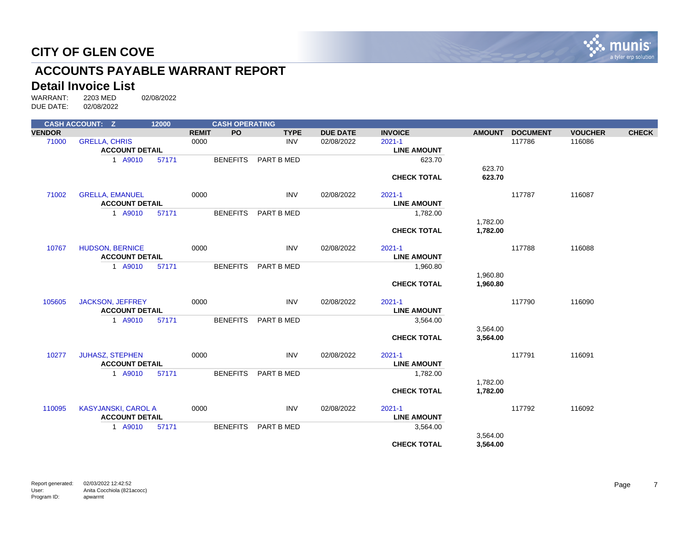

# **ACCOUNTS PAYABLE WARRANT REPORT**

# **Detail Invoice List**<br>WARRANT: 2203 MED

|               | <b>CASH ACCOUNT: Z</b>     |                       | 12000 |              | <b>CASH OPERATING</b> |             |                 |                    |               |                 |                |              |
|---------------|----------------------------|-----------------------|-------|--------------|-----------------------|-------------|-----------------|--------------------|---------------|-----------------|----------------|--------------|
| <b>VENDOR</b> |                            |                       |       | <b>REMIT</b> | <b>PO</b>             | <b>TYPE</b> | <b>DUE DATE</b> | <b>INVOICE</b>     | <b>AMOUNT</b> | <b>DOCUMENT</b> | <b>VOUCHER</b> | <b>CHECK</b> |
| 71000         | <b>GRELLA, CHRIS</b>       |                       |       | 0000         |                       | <b>INV</b>  | 02/08/2022      | $2021 - 1$         |               | 117786          | 116086         |              |
|               |                            | <b>ACCOUNT DETAIL</b> |       |              |                       |             |                 | <b>LINE AMOUNT</b> |               |                 |                |              |
|               |                            | 1 A9010               | 57171 |              | <b>BENEFITS</b>       | PART B MED  |                 | 623.70             |               |                 |                |              |
|               |                            |                       |       |              |                       |             |                 |                    | 623.70        |                 |                |              |
|               |                            |                       |       |              |                       |             |                 | <b>CHECK TOTAL</b> | 623.70        |                 |                |              |
| 71002         | <b>GRELLA, EMANUEL</b>     |                       |       | 0000         |                       | <b>INV</b>  | 02/08/2022      | $2021 - 1$         |               | 117787          | 116087         |              |
|               |                            | <b>ACCOUNT DETAIL</b> |       |              |                       |             |                 | <b>LINE AMOUNT</b> |               |                 |                |              |
|               |                            | 1 A9010               | 57171 |              | <b>BENEFITS</b>       | PART B MED  |                 | 1,782.00           |               |                 |                |              |
|               |                            |                       |       |              |                       |             |                 |                    | 1,782.00      |                 |                |              |
|               |                            |                       |       |              |                       |             |                 | <b>CHECK TOTAL</b> | 1,782.00      |                 |                |              |
| 10767         | <b>HUDSON, BERNICE</b>     |                       |       | 0000         |                       | <b>INV</b>  | 02/08/2022      | $2021 - 1$         |               | 117788          | 116088         |              |
|               |                            | <b>ACCOUNT DETAIL</b> |       |              |                       |             |                 | <b>LINE AMOUNT</b> |               |                 |                |              |
|               |                            |                       |       |              |                       |             |                 |                    |               |                 |                |              |
|               |                            | 1 A9010               | 57171 |              | <b>BENEFITS</b>       | PART B MED  |                 | 1,960.80           | 1,960.80      |                 |                |              |
|               |                            |                       |       |              |                       |             |                 | <b>CHECK TOTAL</b> | 1,960.80      |                 |                |              |
|               |                            |                       |       |              |                       |             |                 |                    |               |                 |                |              |
| 105605        | <b>JACKSON, JEFFREY</b>    |                       |       | 0000         |                       | <b>INV</b>  | 02/08/2022      | $2021 - 1$         |               | 117790          | 116090         |              |
|               |                            | <b>ACCOUNT DETAIL</b> |       |              |                       |             |                 | <b>LINE AMOUNT</b> |               |                 |                |              |
|               |                            | 1 A9010               | 57171 |              | <b>BENEFITS</b>       | PART B MED  |                 | 3,564.00           |               |                 |                |              |
|               |                            |                       |       |              |                       |             |                 |                    | 3,564.00      |                 |                |              |
|               |                            |                       |       |              |                       |             |                 | <b>CHECK TOTAL</b> | 3,564.00      |                 |                |              |
|               |                            |                       |       |              |                       |             |                 |                    |               |                 |                |              |
| 10277         | <b>JUHASZ, STEPHEN</b>     |                       |       | 0000         |                       | <b>INV</b>  | 02/08/2022      | $2021 - 1$         |               | 117791          | 116091         |              |
|               |                            | <b>ACCOUNT DETAIL</b> |       |              |                       |             |                 | <b>LINE AMOUNT</b> |               |                 |                |              |
|               |                            | 1 A9010               | 57171 |              | <b>BENEFITS</b>       | PART B MED  |                 | 1,782.00           |               |                 |                |              |
|               |                            |                       |       |              |                       |             |                 |                    | 1,782.00      |                 |                |              |
|               |                            |                       |       |              |                       |             |                 | <b>CHECK TOTAL</b> | 1,782.00      |                 |                |              |
| 110095        | <b>KASYJANSKI, CAROL A</b> |                       |       | 0000         |                       | <b>INV</b>  | 02/08/2022      | $2021 - 1$         |               | 117792          | 116092         |              |
|               |                            | <b>ACCOUNT DETAIL</b> |       |              |                       |             |                 | <b>LINE AMOUNT</b> |               |                 |                |              |
|               |                            | 1 A9010               | 57171 |              | <b>BENEFITS</b>       | PART B MED  |                 | 3,564.00           |               |                 |                |              |
|               |                            |                       |       |              |                       |             |                 |                    | 3,564.00      |                 |                |              |
|               |                            |                       |       |              |                       |             |                 | <b>CHECK TOTAL</b> | 3,564.00      |                 |                |              |
|               |                            |                       |       |              |                       |             |                 |                    |               |                 |                |              |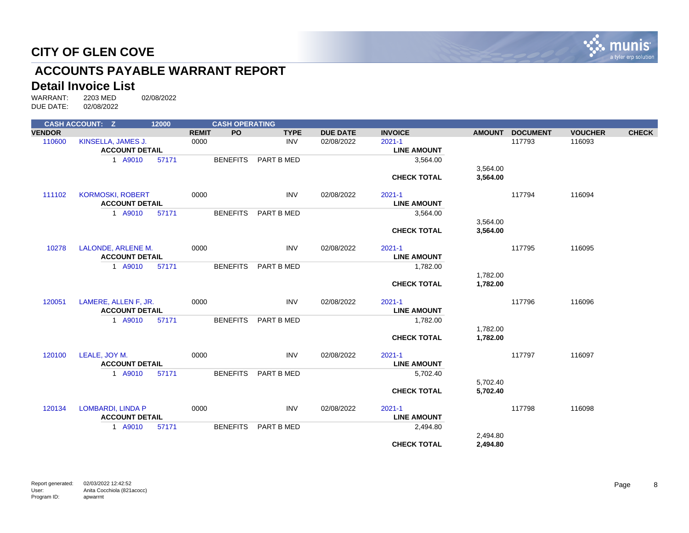

# **ACCOUNTS PAYABLE WARRANT REPORT**

# **Detail Invoice List**<br>WARRANT: 2203 MED

|               | <b>CASH ACCOUNT: Z</b>   | 12000 |                 | <b>CASH OPERATING</b>    |                 |                    |               |                 |                |              |
|---------------|--------------------------|-------|-----------------|--------------------------|-----------------|--------------------|---------------|-----------------|----------------|--------------|
| <b>VENDOR</b> |                          |       | <b>REMIT</b>    | <b>PO</b><br><b>TYPE</b> | <b>DUE DATE</b> | <b>INVOICE</b>     | <b>AMOUNT</b> | <b>DOCUMENT</b> | <b>VOUCHER</b> | <b>CHECK</b> |
| 110600        | KINSELLA, JAMES J.       |       | 0000            | <b>INV</b>               | 02/08/2022      | $2021 - 1$         |               | 117793          | 116093         |              |
|               | <b>ACCOUNT DETAIL</b>    |       |                 |                          |                 | <b>LINE AMOUNT</b> |               |                 |                |              |
|               | 1 A9010                  | 57171 | <b>BENEFITS</b> | PART B MED               |                 | 3,564.00           |               |                 |                |              |
|               |                          |       |                 |                          |                 |                    | 3,564.00      |                 |                |              |
|               |                          |       |                 |                          |                 | <b>CHECK TOTAL</b> | 3,564.00      |                 |                |              |
| 111102        | <b>KORMOSKI, ROBERT</b>  |       | 0000            | <b>INV</b>               | 02/08/2022      | $2021 - 1$         |               | 117794          | 116094         |              |
|               | <b>ACCOUNT DETAIL</b>    |       |                 |                          |                 | <b>LINE AMOUNT</b> |               |                 |                |              |
|               | 1 A9010                  | 57171 | <b>BENEFITS</b> | PART B MED               |                 | 3,564.00           |               |                 |                |              |
|               |                          |       |                 |                          |                 |                    | 3,564.00      |                 |                |              |
|               |                          |       |                 |                          |                 | <b>CHECK TOTAL</b> | 3,564.00      |                 |                |              |
| 10278         | LALONDE, ARLENE M.       |       | 0000            | <b>INV</b>               | 02/08/2022      | $2021 - 1$         |               | 117795          | 116095         |              |
|               | <b>ACCOUNT DETAIL</b>    |       |                 |                          |                 | <b>LINE AMOUNT</b> |               |                 |                |              |
|               | 1 A9010                  | 57171 | <b>BENEFITS</b> | PART B MED               |                 | 1,782.00           |               |                 |                |              |
|               |                          |       |                 |                          |                 |                    | 1,782.00      |                 |                |              |
|               |                          |       |                 |                          |                 | <b>CHECK TOTAL</b> | 1,782.00      |                 |                |              |
| 120051        | LAMERE, ALLEN F, JR.     |       | 0000            | <b>INV</b>               | 02/08/2022      | $2021 - 1$         |               | 117796          | 116096         |              |
|               | <b>ACCOUNT DETAIL</b>    |       |                 |                          |                 | <b>LINE AMOUNT</b> |               |                 |                |              |
|               | 1 A9010                  | 57171 | <b>BENEFITS</b> | PART B MED               |                 | 1,782.00           |               |                 |                |              |
|               |                          |       |                 |                          |                 |                    | 1,782.00      |                 |                |              |
|               |                          |       |                 |                          |                 | <b>CHECK TOTAL</b> | 1,782.00      |                 |                |              |
| 120100        | LEALE, JOY M.            |       | 0000            | <b>INV</b>               | 02/08/2022      | $2021 - 1$         |               | 117797          | 116097         |              |
|               | <b>ACCOUNT DETAIL</b>    |       |                 |                          |                 | <b>LINE AMOUNT</b> |               |                 |                |              |
|               | 1 A9010                  | 57171 | <b>BENEFITS</b> | PART B MED               |                 | 5,702.40           |               |                 |                |              |
|               |                          |       |                 |                          |                 |                    | 5,702.40      |                 |                |              |
|               |                          |       |                 |                          |                 | <b>CHECK TOTAL</b> | 5,702.40      |                 |                |              |
| 120134        | <b>LOMBARDI, LINDA P</b> |       | 0000            | INV                      | 02/08/2022      | $2021 - 1$         |               | 117798          | 116098         |              |
|               | <b>ACCOUNT DETAIL</b>    |       |                 |                          |                 | <b>LINE AMOUNT</b> |               |                 |                |              |
|               | 1 A9010                  | 57171 | <b>BENEFITS</b> | PART B MED               |                 | 2,494.80           |               |                 |                |              |
|               |                          |       |                 |                          |                 |                    | 2,494.80      |                 |                |              |
|               |                          |       |                 |                          |                 | <b>CHECK TOTAL</b> | 2,494.80      |                 |                |              |
|               |                          |       |                 |                          |                 |                    |               |                 |                |              |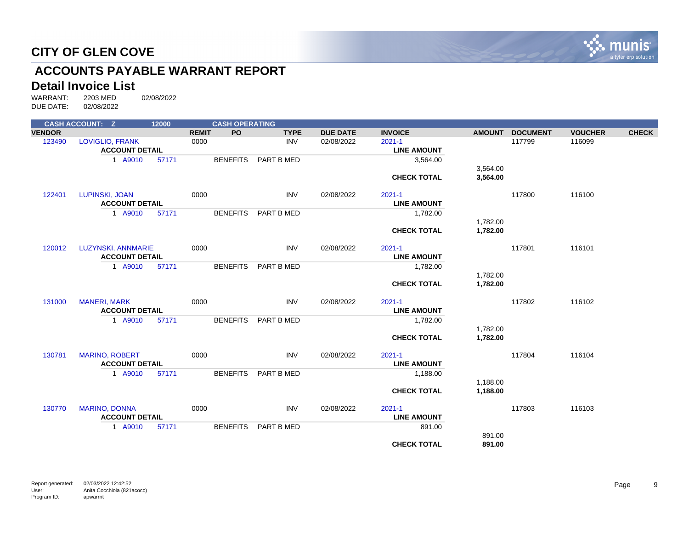

# **ACCOUNTS PAYABLE WARRANT REPORT**

# **Detail Invoice List**<br>WARRANT: 2203 MED

|               | <b>CASH ACCOUNT: Z</b> | 12000 |              | <b>CASH OPERATING</b> |             |                 |                    |               |                 |                |              |
|---------------|------------------------|-------|--------------|-----------------------|-------------|-----------------|--------------------|---------------|-----------------|----------------|--------------|
| <b>VENDOR</b> |                        |       | <b>REMIT</b> | <b>PO</b>             | <b>TYPE</b> | <b>DUE DATE</b> | <b>INVOICE</b>     | <b>AMOUNT</b> | <b>DOCUMENT</b> | <b>VOUCHER</b> | <b>CHECK</b> |
| 123490        | <b>LOVIGLIO, FRANK</b> |       | 0000         |                       | <b>INV</b>  | 02/08/2022      | $2021 - 1$         |               | 117799          | 116099         |              |
|               | <b>ACCOUNT DETAIL</b>  |       |              |                       |             |                 | <b>LINE AMOUNT</b> |               |                 |                |              |
|               | 1 A9010                | 57171 |              | <b>BENEFITS</b>       | PART B MED  |                 | 3,564.00           |               |                 |                |              |
|               |                        |       |              |                       |             |                 |                    | 3,564.00      |                 |                |              |
|               |                        |       |              |                       |             |                 | <b>CHECK TOTAL</b> | 3,564.00      |                 |                |              |
| 122401        | LUPINSKI, JOAN         |       | 0000         |                       | <b>INV</b>  | 02/08/2022      | $2021 - 1$         |               | 117800          | 116100         |              |
|               | <b>ACCOUNT DETAIL</b>  |       |              |                       |             |                 | <b>LINE AMOUNT</b> |               |                 |                |              |
|               | 1 A9010                | 57171 |              | <b>BENEFITS</b>       | PART B MED  |                 | 1,782.00           |               |                 |                |              |
|               |                        |       |              |                       |             |                 |                    | 1,782.00      |                 |                |              |
|               |                        |       |              |                       |             |                 | <b>CHECK TOTAL</b> | 1,782.00      |                 |                |              |
| 120012        | LUZYNSKI, ANNMARIE     |       | 0000         |                       | <b>INV</b>  | 02/08/2022      | $2021 - 1$         |               | 117801          | 116101         |              |
|               | <b>ACCOUNT DETAIL</b>  |       |              |                       |             |                 | <b>LINE AMOUNT</b> |               |                 |                |              |
|               | 1 A9010                | 57171 |              | <b>BENEFITS</b>       | PART B MED  |                 | 1,782.00           |               |                 |                |              |
|               |                        |       |              |                       |             |                 |                    | 1,782.00      |                 |                |              |
|               |                        |       |              |                       |             |                 | <b>CHECK TOTAL</b> | 1,782.00      |                 |                |              |
| 131000        | <b>MANERI, MARK</b>    |       | 0000         |                       | <b>INV</b>  | 02/08/2022      | $2021 - 1$         |               | 117802          | 116102         |              |
|               | <b>ACCOUNT DETAIL</b>  |       |              |                       |             |                 | <b>LINE AMOUNT</b> |               |                 |                |              |
|               | 1 A9010                | 57171 |              | <b>BENEFITS</b>       | PART B MED  |                 | 1,782.00           |               |                 |                |              |
|               |                        |       |              |                       |             |                 |                    | 1,782.00      |                 |                |              |
|               |                        |       |              |                       |             |                 | <b>CHECK TOTAL</b> | 1,782.00      |                 |                |              |
| 130781        | <b>MARINO, ROBERT</b>  |       | 0000         |                       | <b>INV</b>  | 02/08/2022      | $2021 - 1$         |               | 117804          | 116104         |              |
|               | <b>ACCOUNT DETAIL</b>  |       |              |                       |             |                 | <b>LINE AMOUNT</b> |               |                 |                |              |
|               | 1 A9010                | 57171 |              | <b>BENEFITS</b>       | PART B MED  |                 | 1,188.00           |               |                 |                |              |
|               |                        |       |              |                       |             |                 |                    | 1,188.00      |                 |                |              |
|               |                        |       |              |                       |             |                 | <b>CHECK TOTAL</b> | 1,188.00      |                 |                |              |
| 130770        | <b>MARINO, DONNA</b>   |       | 0000         |                       | <b>INV</b>  | 02/08/2022      | $2021 - 1$         |               | 117803          | 116103         |              |
|               | <b>ACCOUNT DETAIL</b>  |       |              |                       |             |                 | <b>LINE AMOUNT</b> |               |                 |                |              |
|               | 1 A9010                | 57171 |              | <b>BENEFITS</b>       | PART B MED  |                 | 891.00             |               |                 |                |              |
|               |                        |       |              |                       |             |                 |                    | 891.00        |                 |                |              |
|               |                        |       |              |                       |             |                 | <b>CHECK TOTAL</b> | 891.00        |                 |                |              |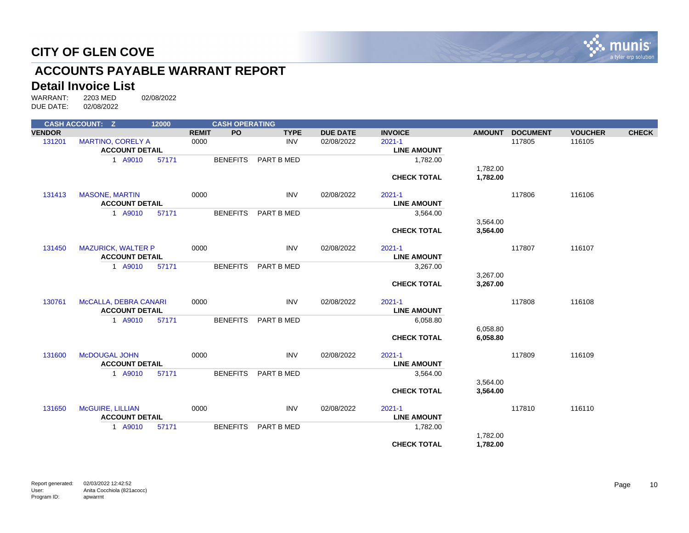

# **ACCOUNTS PAYABLE WARRANT REPORT**

# **Detail Invoice List**<br>WARRANT: 2203 MED

|               | <b>CASH ACCOUNT: Z</b>    | 12000 |                           | <b>CASH OPERATING</b> |                 |                    |               |                 |                |              |
|---------------|---------------------------|-------|---------------------------|-----------------------|-----------------|--------------------|---------------|-----------------|----------------|--------------|
| <b>VENDOR</b> |                           |       | <b>PO</b><br><b>REMIT</b> | <b>TYPE</b>           | <b>DUE DATE</b> | <b>INVOICE</b>     | <b>AMOUNT</b> | <b>DOCUMENT</b> | <b>VOUCHER</b> | <b>CHECK</b> |
| 131201        | <b>MARTINO, CORELY A</b>  |       | 0000                      | <b>INV</b>            | 02/08/2022      | $2021 - 1$         |               | 117805          | 116105         |              |
|               | <b>ACCOUNT DETAIL</b>     |       |                           |                       |                 | <b>LINE AMOUNT</b> |               |                 |                |              |
|               | 1 A9010                   | 57171 | <b>BENEFITS</b>           | PART B MED            |                 | 1,782.00           |               |                 |                |              |
|               |                           |       |                           |                       |                 |                    | 1,782.00      |                 |                |              |
|               |                           |       |                           |                       |                 | <b>CHECK TOTAL</b> | 1,782.00      |                 |                |              |
| 131413        | <b>MASONE, MARTIN</b>     |       | 0000                      | <b>INV</b>            | 02/08/2022      | $2021 - 1$         |               | 117806          | 116106         |              |
|               | <b>ACCOUNT DETAIL</b>     |       |                           |                       |                 | <b>LINE AMOUNT</b> |               |                 |                |              |
|               | 1 A9010                   | 57171 | <b>BENEFITS</b>           | PART B MED            |                 | 3,564.00           |               |                 |                |              |
|               |                           |       |                           |                       |                 |                    | 3,564.00      |                 |                |              |
|               |                           |       |                           |                       |                 | <b>CHECK TOTAL</b> | 3,564.00      |                 |                |              |
| 131450        | <b>MAZURICK, WALTER P</b> |       | 0000                      | <b>INV</b>            | 02/08/2022      | $2021 - 1$         |               | 117807          | 116107         |              |
|               | <b>ACCOUNT DETAIL</b>     |       |                           |                       |                 | <b>LINE AMOUNT</b> |               |                 |                |              |
|               | 1 A9010                   | 57171 | <b>BENEFITS</b>           | PART B MED            |                 | 3,267.00           |               |                 |                |              |
|               |                           |       |                           |                       |                 |                    | 3,267.00      |                 |                |              |
|               |                           |       |                           |                       |                 | <b>CHECK TOTAL</b> | 3,267.00      |                 |                |              |
| 130761        | McCALLA, DEBRA CANARI     |       | 0000                      | <b>INV</b>            | 02/08/2022      | $2021 - 1$         |               | 117808          | 116108         |              |
|               | <b>ACCOUNT DETAIL</b>     |       |                           |                       |                 | <b>LINE AMOUNT</b> |               |                 |                |              |
|               | 1 A9010                   | 57171 | <b>BENEFITS</b>           | PART B MED            |                 | 6,058.80           |               |                 |                |              |
|               |                           |       |                           |                       |                 |                    | 6,058.80      |                 |                |              |
|               |                           |       |                           |                       |                 | <b>CHECK TOTAL</b> | 6,058.80      |                 |                |              |
| 131600        | <b>McDOUGAL JOHN</b>      |       | 0000                      | <b>INV</b>            | 02/08/2022      | $2021 - 1$         |               | 117809          | 116109         |              |
|               | <b>ACCOUNT DETAIL</b>     |       |                           |                       |                 | <b>LINE AMOUNT</b> |               |                 |                |              |
|               | 1 A9010                   | 57171 | <b>BENEFITS</b>           | PART B MED            |                 | 3,564.00           |               |                 |                |              |
|               |                           |       |                           |                       |                 |                    | 3,564.00      |                 |                |              |
|               |                           |       |                           |                       |                 | <b>CHECK TOTAL</b> | 3,564.00      |                 |                |              |
| 131650        | McGUIRE, LILLIAN          |       | 0000                      | <b>INV</b>            | 02/08/2022      | $2021 - 1$         |               | 117810          | 116110         |              |
|               | <b>ACCOUNT DETAIL</b>     |       |                           |                       |                 | <b>LINE AMOUNT</b> |               |                 |                |              |
|               | 1 A9010                   | 57171 | <b>BENEFITS</b>           | PART B MED            |                 | 1,782.00           |               |                 |                |              |
|               |                           |       |                           |                       |                 |                    | 1,782.00      |                 |                |              |
|               |                           |       |                           |                       |                 | <b>CHECK TOTAL</b> | 1,782.00      |                 |                |              |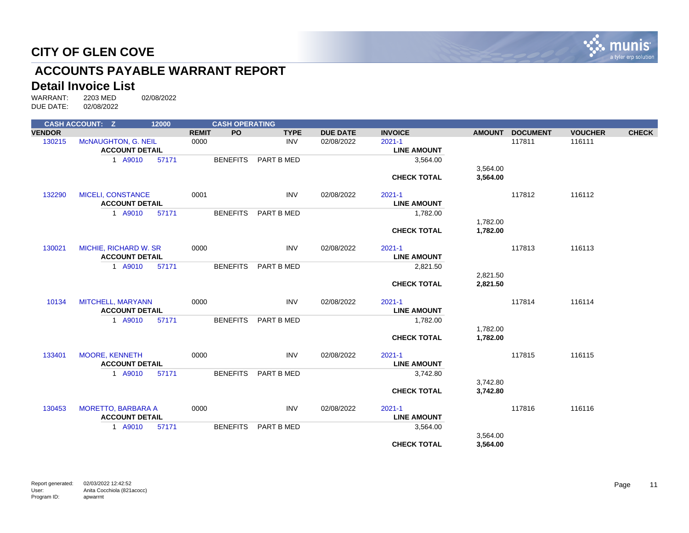

# **ACCOUNTS PAYABLE WARRANT REPORT**

# **Detail Invoice List**<br>WARRANT: 2203 MED

|               | <b>CASH ACCOUNT: Z</b>    | 12000 |              | <b>CASH OPERATING</b> |             |                 |                    |               |                 |                |              |
|---------------|---------------------------|-------|--------------|-----------------------|-------------|-----------------|--------------------|---------------|-----------------|----------------|--------------|
| <b>VENDOR</b> |                           |       | <b>REMIT</b> | <b>PO</b>             | <b>TYPE</b> | <b>DUE DATE</b> | <b>INVOICE</b>     | <b>AMOUNT</b> | <b>DOCUMENT</b> | <b>VOUCHER</b> | <b>CHECK</b> |
| 130215        | McNAUGHTON, G. NEIL       |       | 0000         |                       | <b>INV</b>  | 02/08/2022      | $2021 - 1$         |               | 117811          | 116111         |              |
|               | <b>ACCOUNT DETAIL</b>     |       |              |                       |             |                 | <b>LINE AMOUNT</b> |               |                 |                |              |
|               | 1 A9010                   | 57171 |              | <b>BENEFITS</b>       | PART B MED  |                 | 3,564.00           |               |                 |                |              |
|               |                           |       |              |                       |             |                 |                    | 3,564.00      |                 |                |              |
|               |                           |       |              |                       |             |                 | <b>CHECK TOTAL</b> | 3,564.00      |                 |                |              |
| 132290        | <b>MICELI, CONSTANCE</b>  |       | 0001         |                       | <b>INV</b>  | 02/08/2022      | $2021 - 1$         |               | 117812          | 116112         |              |
|               | <b>ACCOUNT DETAIL</b>     |       |              |                       |             |                 | <b>LINE AMOUNT</b> |               |                 |                |              |
|               | 1 A9010                   | 57171 |              | <b>BENEFITS</b>       | PART B MED  |                 | 1,782.00           |               |                 |                |              |
|               |                           |       |              |                       |             |                 |                    | 1,782.00      |                 |                |              |
|               |                           |       |              |                       |             |                 | <b>CHECK TOTAL</b> | 1,782.00      |                 |                |              |
| 130021        | MICHIE, RICHARD W. SR     |       | 0000         |                       | <b>INV</b>  | 02/08/2022      | $2021 - 1$         |               | 117813          | 116113         |              |
|               | <b>ACCOUNT DETAIL</b>     |       |              |                       |             |                 | <b>LINE AMOUNT</b> |               |                 |                |              |
|               | 1 A9010                   | 57171 |              | <b>BENEFITS</b>       | PART B MED  |                 | 2,821.50           |               |                 |                |              |
|               |                           |       |              |                       |             |                 |                    | 2,821.50      |                 |                |              |
|               |                           |       |              |                       |             |                 | <b>CHECK TOTAL</b> | 2,821.50      |                 |                |              |
| 10134         | MITCHELL, MARYANN         |       | 0000         |                       | <b>INV</b>  | 02/08/2022      | $2021 - 1$         |               | 117814          | 116114         |              |
|               | <b>ACCOUNT DETAIL</b>     |       |              |                       |             |                 | <b>LINE AMOUNT</b> |               |                 |                |              |
|               | 1 A9010                   | 57171 |              | <b>BENEFITS</b>       | PART B MED  |                 | 1,782.00           |               |                 |                |              |
|               |                           |       |              |                       |             |                 |                    | 1,782.00      |                 |                |              |
|               |                           |       |              |                       |             |                 | <b>CHECK TOTAL</b> | 1,782.00      |                 |                |              |
| 133401        | <b>MOORE, KENNETH</b>     |       | 0000         |                       | <b>INV</b>  | 02/08/2022      | $2021 - 1$         |               | 117815          | 116115         |              |
|               | <b>ACCOUNT DETAIL</b>     |       |              |                       |             |                 | <b>LINE AMOUNT</b> |               |                 |                |              |
|               | 1 A9010                   | 57171 |              | <b>BENEFITS</b>       | PART B MED  |                 | 3,742.80           |               |                 |                |              |
|               |                           |       |              |                       |             |                 |                    | 3,742.80      |                 |                |              |
|               |                           |       |              |                       |             |                 | <b>CHECK TOTAL</b> | 3,742.80      |                 |                |              |
| 130453        | <b>MORETTO, BARBARA A</b> |       | 0000         |                       | <b>INV</b>  | 02/08/2022      | $2021 - 1$         |               | 117816          | 116116         |              |
|               | <b>ACCOUNT DETAIL</b>     |       |              |                       |             |                 | <b>LINE AMOUNT</b> |               |                 |                |              |
|               | 1 A9010                   | 57171 |              | <b>BENEFITS</b>       | PART B MED  |                 | 3,564.00           |               |                 |                |              |
|               |                           |       |              |                       |             |                 |                    | 3,564.00      |                 |                |              |
|               |                           |       |              |                       |             |                 | <b>CHECK TOTAL</b> | 3,564.00      |                 |                |              |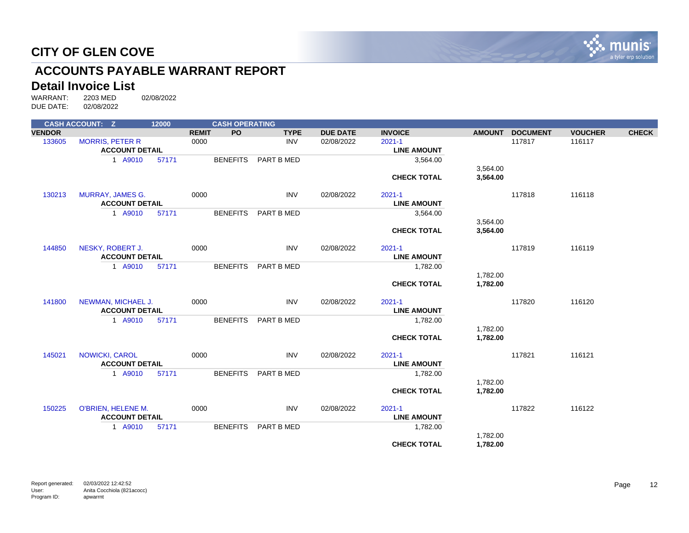

# **ACCOUNTS PAYABLE WARRANT REPORT**

# **Detail Invoice List**<br>WARRANT: 2203 MED

|               | <b>CASH ACCOUNT: Z</b>  | 12000 | <b>CASH OPERATING</b>     |             |                 |                    |               |                 |                |              |
|---------------|-------------------------|-------|---------------------------|-------------|-----------------|--------------------|---------------|-----------------|----------------|--------------|
| <b>VENDOR</b> |                         |       | <b>REMIT</b><br><b>PO</b> | <b>TYPE</b> | <b>DUE DATE</b> | <b>INVOICE</b>     | <b>AMOUNT</b> | <b>DOCUMENT</b> | <b>VOUCHER</b> | <b>CHECK</b> |
| 133605        | <b>MORRIS, PETER R</b>  |       | 0000                      | <b>INV</b>  | 02/08/2022      | $2021 - 1$         |               | 117817          | 116117         |              |
|               | <b>ACCOUNT DETAIL</b>   |       |                           |             |                 | <b>LINE AMOUNT</b> |               |                 |                |              |
|               | 1 A9010                 | 57171 | <b>BENEFITS</b>           | PART B MED  |                 | 3,564.00           |               |                 |                |              |
|               |                         |       |                           |             |                 |                    | 3,564.00      |                 |                |              |
|               |                         |       |                           |             |                 | <b>CHECK TOTAL</b> | 3,564.00      |                 |                |              |
|               |                         |       |                           |             |                 |                    |               |                 |                |              |
| 130213        | <b>MURRAY, JAMES G.</b> |       | 0000                      | <b>INV</b>  | 02/08/2022      | $2021 - 1$         |               | 117818          | 116118         |              |
|               | <b>ACCOUNT DETAIL</b>   |       |                           |             |                 | <b>LINE AMOUNT</b> |               |                 |                |              |
|               | 1 A9010                 | 57171 | <b>BENEFITS</b>           | PART B MED  |                 | 3,564.00           |               |                 |                |              |
|               |                         |       |                           |             |                 |                    | 3,564.00      |                 |                |              |
|               |                         |       |                           |             |                 | <b>CHECK TOTAL</b> | 3,564.00      |                 |                |              |
|               |                         |       |                           |             |                 |                    |               |                 |                |              |
| 144850        | NESKY, ROBERT J.        |       | 0000                      | <b>INV</b>  | 02/08/2022      | $2021 - 1$         |               | 117819          | 116119         |              |
|               | <b>ACCOUNT DETAIL</b>   |       |                           |             |                 | <b>LINE AMOUNT</b> |               |                 |                |              |
|               | 1 A9010                 | 57171 | <b>BENEFITS</b>           | PART B MED  |                 | 1,782.00           |               |                 |                |              |
|               |                         |       |                           |             |                 |                    | 1,782.00      |                 |                |              |
|               |                         |       |                           |             |                 | <b>CHECK TOTAL</b> | 1,782.00      |                 |                |              |
|               |                         |       |                           |             |                 |                    |               |                 |                |              |
| 141800        | NEWMAN, MICHAEL J.      |       | 0000                      | <b>INV</b>  | 02/08/2022      | $2021 - 1$         |               | 117820          | 116120         |              |
|               | <b>ACCOUNT DETAIL</b>   |       |                           |             |                 | <b>LINE AMOUNT</b> |               |                 |                |              |
|               | 1 A9010                 | 57171 | <b>BENEFITS</b>           | PART B MED  |                 | 1,782.00           |               |                 |                |              |
|               |                         |       |                           |             |                 |                    | 1,782.00      |                 |                |              |
|               |                         |       |                           |             |                 | <b>CHECK TOTAL</b> | 1,782.00      |                 |                |              |
|               |                         |       |                           |             |                 |                    |               |                 |                |              |
| 145021        | <b>NOWICKI, CAROL</b>   |       | 0000                      | <b>INV</b>  | 02/08/2022      | $2021 - 1$         |               | 117821          | 116121         |              |
|               | <b>ACCOUNT DETAIL</b>   |       |                           |             |                 | <b>LINE AMOUNT</b> |               |                 |                |              |
|               | 1 A9010                 | 57171 | <b>BENEFITS</b>           | PART B MED  |                 | 1,782.00           |               |                 |                |              |
|               |                         |       |                           |             |                 |                    | 1,782.00      |                 |                |              |
|               |                         |       |                           |             |                 | <b>CHECK TOTAL</b> | 1,782.00      |                 |                |              |
|               |                         |       |                           |             |                 |                    |               |                 |                |              |
| 150225        | O'BRIEN, HELENE M.      |       | 0000                      | <b>INV</b>  | 02/08/2022      | $2021 - 1$         |               | 117822          | 116122         |              |
|               | <b>ACCOUNT DETAIL</b>   |       |                           |             |                 | <b>LINE AMOUNT</b> |               |                 |                |              |
|               | 1 A9010                 | 57171 | <b>BENEFITS</b>           | PART B MED  |                 | 1,782.00           |               |                 |                |              |
|               |                         |       |                           |             |                 |                    | 1,782.00      |                 |                |              |
|               |                         |       |                           |             |                 | <b>CHECK TOTAL</b> | 1,782.00      |                 |                |              |
|               |                         |       |                           |             |                 |                    |               |                 |                |              |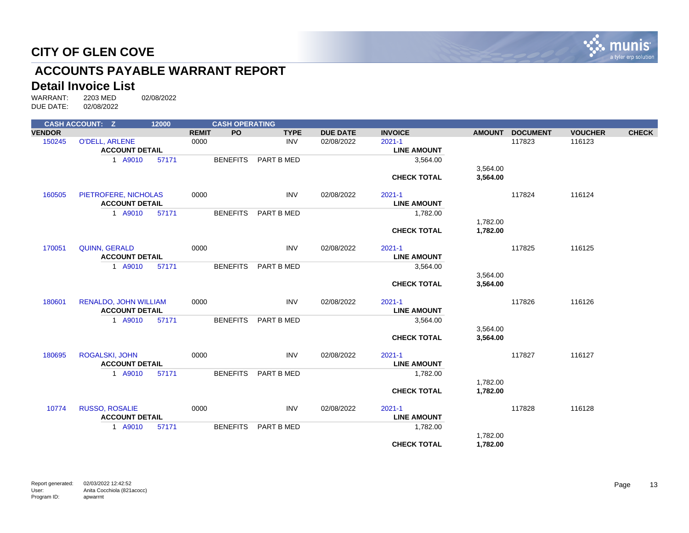

# **ACCOUNTS PAYABLE WARRANT REPORT**

# **Detail Invoice List**<br>WARRANT: 2203 MED

| <b>PO</b><br><b>VENDOR</b><br><b>REMIT</b><br><b>TYPE</b><br><b>DUE DATE</b><br><b>INVOICE</b><br><b>DOCUMENT</b><br><b>VOUCHER</b><br><b>AMOUNT</b><br>$2021 - 1$<br>117823<br>116123<br>150245<br><b>O'DELL, ARLENE</b><br>0000<br><b>INV</b><br>02/08/2022<br><b>ACCOUNT DETAIL</b><br><b>LINE AMOUNT</b><br><b>BENEFITS</b><br>1 A9010<br>57171<br>PART B MED<br>3,564.00<br>3,564.00<br><b>CHECK TOTAL</b><br>3,564.00<br>160505<br>PIETROFERE, NICHOLAS<br>0000<br><b>INV</b><br>02/08/2022<br>$2021 - 1$<br>117824<br>116124<br><b>ACCOUNT DETAIL</b><br><b>LINE AMOUNT</b><br>1 A9010<br><b>BENEFITS</b><br>57171<br>PART B MED<br>1,782.00<br>1,782.00<br><b>CHECK TOTAL</b><br>1,782.00<br><b>INV</b><br>$2021 - 1$<br>117825<br>116125<br>170051<br><b>QUINN, GERALD</b><br>0000<br>02/08/2022<br><b>ACCOUNT DETAIL</b><br><b>LINE AMOUNT</b><br><b>BENEFITS</b><br>3,564.00<br>1 A9010<br>57171<br>PART B MED<br>3,564.00<br>3,564.00<br><b>CHECK TOTAL</b><br><b>RENALDO, JOHN WILLIAM</b><br><b>INV</b><br>$2021 - 1$<br>117826<br>116126<br>180601<br>0000<br>02/08/2022<br><b>ACCOUNT DETAIL</b><br><b>LINE AMOUNT</b><br>1 A9010<br><b>BENEFITS</b><br>PART B MED<br>3,564.00<br>57171<br>3,564.00<br>3,564.00<br><b>CHECK TOTAL</b><br>180695<br><b>ROGALSKI, JOHN</b><br>0000<br><b>INV</b><br>02/08/2022<br>$2021 - 1$<br>117827<br>116127<br><b>ACCOUNT DETAIL</b><br><b>LINE AMOUNT</b><br>1 A9010<br><b>BENEFITS</b><br>PART B MED<br>1,782.00<br>57171<br>1,782.00<br>1,782.00<br><b>CHECK TOTAL</b><br><b>INV</b><br>10774<br><b>RUSSO, ROSALIE</b><br>0000<br>$2021 - 1$<br>117828<br>116128<br>02/08/2022<br><b>ACCOUNT DETAIL</b><br><b>LINE AMOUNT</b><br>1 A9010<br>57171<br><b>BENEFITS</b><br>PART B MED<br>1,782.00<br>1,782.00<br><b>CHECK TOTAL</b><br>1,782.00 | <b>CASH ACCOUNT: Z</b> | 12000 | <b>CASH OPERATING</b> |  |  |  |              |
|----------------------------------------------------------------------------------------------------------------------------------------------------------------------------------------------------------------------------------------------------------------------------------------------------------------------------------------------------------------------------------------------------------------------------------------------------------------------------------------------------------------------------------------------------------------------------------------------------------------------------------------------------------------------------------------------------------------------------------------------------------------------------------------------------------------------------------------------------------------------------------------------------------------------------------------------------------------------------------------------------------------------------------------------------------------------------------------------------------------------------------------------------------------------------------------------------------------------------------------------------------------------------------------------------------------------------------------------------------------------------------------------------------------------------------------------------------------------------------------------------------------------------------------------------------------------------------------------------------------------------------------------------------------------------------------------------------------------------------------------------------------------------------------------------|------------------------|-------|-----------------------|--|--|--|--------------|
|                                                                                                                                                                                                                                                                                                                                                                                                                                                                                                                                                                                                                                                                                                                                                                                                                                                                                                                                                                                                                                                                                                                                                                                                                                                                                                                                                                                                                                                                                                                                                                                                                                                                                                                                                                                                    |                        |       |                       |  |  |  | <b>CHECK</b> |
|                                                                                                                                                                                                                                                                                                                                                                                                                                                                                                                                                                                                                                                                                                                                                                                                                                                                                                                                                                                                                                                                                                                                                                                                                                                                                                                                                                                                                                                                                                                                                                                                                                                                                                                                                                                                    |                        |       |                       |  |  |  |              |
|                                                                                                                                                                                                                                                                                                                                                                                                                                                                                                                                                                                                                                                                                                                                                                                                                                                                                                                                                                                                                                                                                                                                                                                                                                                                                                                                                                                                                                                                                                                                                                                                                                                                                                                                                                                                    |                        |       |                       |  |  |  |              |
|                                                                                                                                                                                                                                                                                                                                                                                                                                                                                                                                                                                                                                                                                                                                                                                                                                                                                                                                                                                                                                                                                                                                                                                                                                                                                                                                                                                                                                                                                                                                                                                                                                                                                                                                                                                                    |                        |       |                       |  |  |  |              |
|                                                                                                                                                                                                                                                                                                                                                                                                                                                                                                                                                                                                                                                                                                                                                                                                                                                                                                                                                                                                                                                                                                                                                                                                                                                                                                                                                                                                                                                                                                                                                                                                                                                                                                                                                                                                    |                        |       |                       |  |  |  |              |
|                                                                                                                                                                                                                                                                                                                                                                                                                                                                                                                                                                                                                                                                                                                                                                                                                                                                                                                                                                                                                                                                                                                                                                                                                                                                                                                                                                                                                                                                                                                                                                                                                                                                                                                                                                                                    |                        |       |                       |  |  |  |              |
|                                                                                                                                                                                                                                                                                                                                                                                                                                                                                                                                                                                                                                                                                                                                                                                                                                                                                                                                                                                                                                                                                                                                                                                                                                                                                                                                                                                                                                                                                                                                                                                                                                                                                                                                                                                                    |                        |       |                       |  |  |  |              |
|                                                                                                                                                                                                                                                                                                                                                                                                                                                                                                                                                                                                                                                                                                                                                                                                                                                                                                                                                                                                                                                                                                                                                                                                                                                                                                                                                                                                                                                                                                                                                                                                                                                                                                                                                                                                    |                        |       |                       |  |  |  |              |
|                                                                                                                                                                                                                                                                                                                                                                                                                                                                                                                                                                                                                                                                                                                                                                                                                                                                                                                                                                                                                                                                                                                                                                                                                                                                                                                                                                                                                                                                                                                                                                                                                                                                                                                                                                                                    |                        |       |                       |  |  |  |              |
|                                                                                                                                                                                                                                                                                                                                                                                                                                                                                                                                                                                                                                                                                                                                                                                                                                                                                                                                                                                                                                                                                                                                                                                                                                                                                                                                                                                                                                                                                                                                                                                                                                                                                                                                                                                                    |                        |       |                       |  |  |  |              |
|                                                                                                                                                                                                                                                                                                                                                                                                                                                                                                                                                                                                                                                                                                                                                                                                                                                                                                                                                                                                                                                                                                                                                                                                                                                                                                                                                                                                                                                                                                                                                                                                                                                                                                                                                                                                    |                        |       |                       |  |  |  |              |
|                                                                                                                                                                                                                                                                                                                                                                                                                                                                                                                                                                                                                                                                                                                                                                                                                                                                                                                                                                                                                                                                                                                                                                                                                                                                                                                                                                                                                                                                                                                                                                                                                                                                                                                                                                                                    |                        |       |                       |  |  |  |              |
|                                                                                                                                                                                                                                                                                                                                                                                                                                                                                                                                                                                                                                                                                                                                                                                                                                                                                                                                                                                                                                                                                                                                                                                                                                                                                                                                                                                                                                                                                                                                                                                                                                                                                                                                                                                                    |                        |       |                       |  |  |  |              |
|                                                                                                                                                                                                                                                                                                                                                                                                                                                                                                                                                                                                                                                                                                                                                                                                                                                                                                                                                                                                                                                                                                                                                                                                                                                                                                                                                                                                                                                                                                                                                                                                                                                                                                                                                                                                    |                        |       |                       |  |  |  |              |
|                                                                                                                                                                                                                                                                                                                                                                                                                                                                                                                                                                                                                                                                                                                                                                                                                                                                                                                                                                                                                                                                                                                                                                                                                                                                                                                                                                                                                                                                                                                                                                                                                                                                                                                                                                                                    |                        |       |                       |  |  |  |              |
|                                                                                                                                                                                                                                                                                                                                                                                                                                                                                                                                                                                                                                                                                                                                                                                                                                                                                                                                                                                                                                                                                                                                                                                                                                                                                                                                                                                                                                                                                                                                                                                                                                                                                                                                                                                                    |                        |       |                       |  |  |  |              |
|                                                                                                                                                                                                                                                                                                                                                                                                                                                                                                                                                                                                                                                                                                                                                                                                                                                                                                                                                                                                                                                                                                                                                                                                                                                                                                                                                                                                                                                                                                                                                                                                                                                                                                                                                                                                    |                        |       |                       |  |  |  |              |
|                                                                                                                                                                                                                                                                                                                                                                                                                                                                                                                                                                                                                                                                                                                                                                                                                                                                                                                                                                                                                                                                                                                                                                                                                                                                                                                                                                                                                                                                                                                                                                                                                                                                                                                                                                                                    |                        |       |                       |  |  |  |              |
|                                                                                                                                                                                                                                                                                                                                                                                                                                                                                                                                                                                                                                                                                                                                                                                                                                                                                                                                                                                                                                                                                                                                                                                                                                                                                                                                                                                                                                                                                                                                                                                                                                                                                                                                                                                                    |                        |       |                       |  |  |  |              |
|                                                                                                                                                                                                                                                                                                                                                                                                                                                                                                                                                                                                                                                                                                                                                                                                                                                                                                                                                                                                                                                                                                                                                                                                                                                                                                                                                                                                                                                                                                                                                                                                                                                                                                                                                                                                    |                        |       |                       |  |  |  |              |
|                                                                                                                                                                                                                                                                                                                                                                                                                                                                                                                                                                                                                                                                                                                                                                                                                                                                                                                                                                                                                                                                                                                                                                                                                                                                                                                                                                                                                                                                                                                                                                                                                                                                                                                                                                                                    |                        |       |                       |  |  |  |              |
|                                                                                                                                                                                                                                                                                                                                                                                                                                                                                                                                                                                                                                                                                                                                                                                                                                                                                                                                                                                                                                                                                                                                                                                                                                                                                                                                                                                                                                                                                                                                                                                                                                                                                                                                                                                                    |                        |       |                       |  |  |  |              |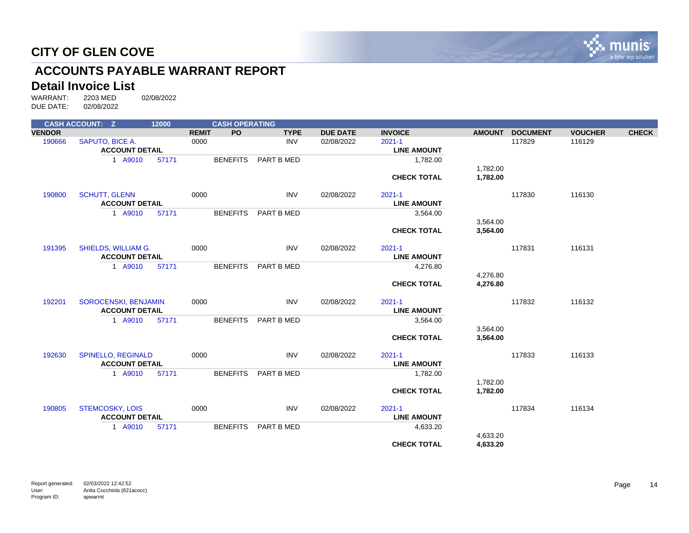

# **ACCOUNTS PAYABLE WARRANT REPORT**

# **Detail Invoice List**<br>WARRANT: 2203 MED

|               | <b>CASH ACCOUNT: Z</b>                   |                       | 12000 |              | <b>CASH OPERATING</b> |             |                 |                                  |                    |                 |                |              |  |
|---------------|------------------------------------------|-----------------------|-------|--------------|-----------------------|-------------|-----------------|----------------------------------|--------------------|-----------------|----------------|--------------|--|
| <b>VENDOR</b> |                                          |                       |       | <b>REMIT</b> | <b>PO</b>             | <b>TYPE</b> | <b>DUE DATE</b> | <b>INVOICE</b>                   | <b>AMOUNT</b>      | <b>DOCUMENT</b> | <b>VOUCHER</b> | <b>CHECK</b> |  |
| 190666        | SAPUTO, BICE A.<br><b>ACCOUNT DETAIL</b> |                       |       | 0000         |                       | <b>INV</b>  | 02/08/2022      | $2021 - 1$<br><b>LINE AMOUNT</b> |                    | 117829          | 116129         |              |  |
|               |                                          | 1 A9010               | 57171 |              | <b>BENEFITS</b>       | PART B MED  |                 | 1,782.00                         |                    |                 |                |              |  |
|               |                                          |                       |       |              |                       |             |                 |                                  | 1,782.00           |                 |                |              |  |
|               |                                          |                       |       |              |                       |             |                 | <b>CHECK TOTAL</b>               | 1,782.00           |                 |                |              |  |
| 190800        | <b>SCHUTT, GLENN</b>                     |                       |       | 0000         |                       | <b>INV</b>  | 02/08/2022      | $2021 - 1$                       |                    | 117830          | 116130         |              |  |
|               | <b>ACCOUNT DETAIL</b>                    |                       |       |              |                       |             |                 | <b>LINE AMOUNT</b>               |                    |                 |                |              |  |
|               |                                          | 1 A9010               | 57171 |              | <b>BENEFITS</b>       | PART B MED  |                 | 3,564.00                         |                    |                 |                |              |  |
|               |                                          |                       |       |              |                       |             |                 |                                  | 3,564.00           |                 |                |              |  |
|               |                                          |                       |       |              |                       |             |                 | <b>CHECK TOTAL</b>               | 3,564.00           |                 |                |              |  |
| 191395        | SHIELDS, WILLIAM G.                      |                       |       | 0000         |                       | <b>INV</b>  | 02/08/2022      | $2021 - 1$                       |                    | 117831          | 116131         |              |  |
|               | <b>ACCOUNT DETAIL</b>                    |                       |       |              |                       |             |                 | <b>LINE AMOUNT</b>               |                    |                 |                |              |  |
|               |                                          | 1 A9010               | 57171 |              | <b>BENEFITS</b>       | PART B MED  |                 | 4,276.80                         |                    |                 |                |              |  |
|               |                                          |                       |       |              |                       |             |                 |                                  | 4,276.80           |                 |                |              |  |
|               |                                          |                       |       |              |                       |             |                 | <b>CHECK TOTAL</b>               | 4,276.80           |                 |                |              |  |
| 192201        | SOROCENSKI, BENJAMIN                     |                       |       | 0000         |                       | <b>INV</b>  | 02/08/2022      | $2021 - 1$                       |                    | 117832          | 116132         |              |  |
|               | <b>ACCOUNT DETAIL</b>                    |                       |       |              |                       |             |                 | <b>LINE AMOUNT</b>               |                    |                 |                |              |  |
|               |                                          | 1 A9010               | 57171 |              | <b>BENEFITS</b>       | PART B MED  |                 | 3,564.00                         |                    |                 |                |              |  |
|               |                                          |                       |       |              |                       |             |                 |                                  | 3,564.00           |                 |                |              |  |
|               |                                          |                       |       |              |                       |             |                 | <b>CHECK TOTAL</b>               | 3,564.00           |                 |                |              |  |
| 192630        | <b>SPINELLO, REGINALD</b>                |                       |       | 0000         |                       | <b>INV</b>  | 02/08/2022      | $2021 - 1$                       |                    | 117833          | 116133         |              |  |
|               | <b>ACCOUNT DETAIL</b>                    |                       |       |              |                       |             |                 | <b>LINE AMOUNT</b>               |                    |                 |                |              |  |
|               |                                          | 1 A9010               | 57171 |              | <b>BENEFITS</b>       | PART B MED  |                 | 1,782.00                         |                    |                 |                |              |  |
|               |                                          |                       |       |              |                       |             |                 |                                  | 1,782.00           |                 |                |              |  |
|               |                                          |                       |       |              |                       |             |                 | <b>CHECK TOTAL</b>               | 1,782.00           |                 |                |              |  |
| 190805        | <b>STEMCOSKY, LOIS</b>                   |                       |       | 0000         |                       | <b>INV</b>  | 02/08/2022      | $2021 - 1$                       |                    | 117834          | 116134         |              |  |
|               |                                          | <b>ACCOUNT DETAIL</b> |       |              |                       |             |                 |                                  | <b>LINE AMOUNT</b> |                 |                |              |  |
|               |                                          | 1 A9010               | 57171 |              | <b>BENEFITS</b>       | PART B MED  |                 | 4,633.20                         |                    |                 |                |              |  |
|               |                                          |                       |       |              |                       |             |                 |                                  | 4,633.20           |                 |                |              |  |
|               |                                          |                       |       |              |                       |             |                 | <b>CHECK TOTAL</b>               | 4,633.20           |                 |                |              |  |
|               |                                          |                       |       |              |                       |             |                 |                                  |                    |                 |                |              |  |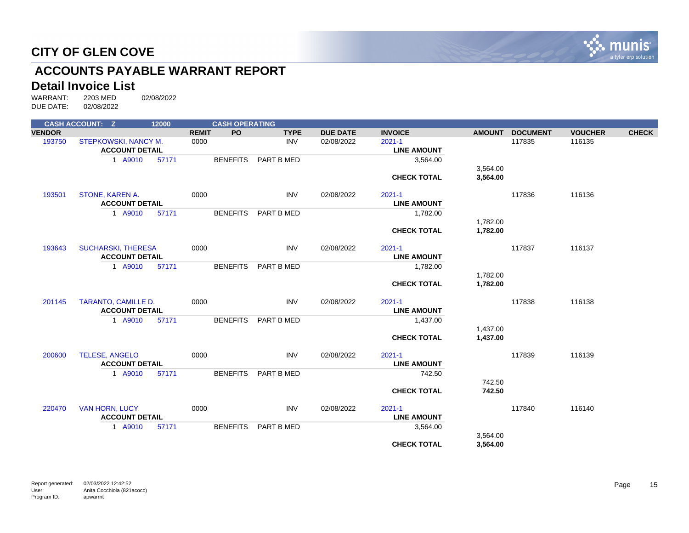

# **ACCOUNTS PAYABLE WARRANT REPORT**

# **Detail Invoice List**<br>WARRANT: 2203 MED

|               | <b>CASH ACCOUNT: Z</b>     | 12000                 |              | <b>CASH OPERATING</b> |             |                 |                    |               |                 |                    |              |  |  |
|---------------|----------------------------|-----------------------|--------------|-----------------------|-------------|-----------------|--------------------|---------------|-----------------|--------------------|--------------|--|--|
| <b>VENDOR</b> |                            |                       | <b>REMIT</b> | <b>PO</b>             | <b>TYPE</b> | <b>DUE DATE</b> | <b>INVOICE</b>     | <b>AMOUNT</b> | <b>DOCUMENT</b> | <b>VOUCHER</b>     | <b>CHECK</b> |  |  |
| 193750        | STEPKOWSKI, NANCY M.       |                       | 0000         |                       | <b>INV</b>  | 02/08/2022      | $2021 - 1$         |               | 117835          | 116135             |              |  |  |
|               | <b>ACCOUNT DETAIL</b>      |                       |              |                       |             |                 | <b>LINE AMOUNT</b> |               |                 |                    |              |  |  |
|               | 1 A9010                    | 57171                 |              | <b>BENEFITS</b>       | PART B MED  |                 | 3,564.00           |               |                 |                    |              |  |  |
|               |                            |                       |              |                       |             |                 |                    | 3,564.00      |                 |                    |              |  |  |
|               |                            |                       |              |                       |             |                 | <b>CHECK TOTAL</b> | 3,564.00      |                 |                    |              |  |  |
| 193501        | STONE, KAREN A.            |                       | 0000         |                       | <b>INV</b>  | 02/08/2022      | $2021 - 1$         |               | 117836          | 116136             |              |  |  |
|               | <b>ACCOUNT DETAIL</b>      |                       |              |                       |             |                 | <b>LINE AMOUNT</b> |               |                 |                    |              |  |  |
|               | 1 A9010                    | 57171                 |              | <b>BENEFITS</b>       | PART B MED  |                 | 1,782.00           |               |                 |                    |              |  |  |
|               |                            |                       |              |                       |             |                 |                    | 1,782.00      |                 |                    |              |  |  |
|               |                            |                       |              |                       |             |                 | <b>CHECK TOTAL</b> | 1,782.00      |                 |                    |              |  |  |
| 193643        | <b>SUCHARSKI, THERESA</b>  |                       | 0000         |                       | <b>INV</b>  | 02/08/2022      | $2021 - 1$         |               | 117837          | 116137             |              |  |  |
|               | <b>ACCOUNT DETAIL</b>      |                       |              |                       |             |                 | <b>LINE AMOUNT</b> |               |                 |                    |              |  |  |
|               | 1 A9010                    | 57171                 |              | <b>BENEFITS</b>       | PART B MED  |                 | 1,782.00           |               |                 |                    |              |  |  |
|               |                            |                       |              |                       |             |                 |                    | 1,782.00      |                 |                    |              |  |  |
|               |                            |                       |              |                       |             |                 | <b>CHECK TOTAL</b> | 1,782.00      |                 |                    |              |  |  |
| 201145        | <b>TARANTO, CAMILLE D.</b> |                       | 0000         |                       | <b>INV</b>  | 02/08/2022      | $2021 - 1$         |               | 117838          | 116138             |              |  |  |
|               | <b>ACCOUNT DETAIL</b>      |                       |              |                       |             |                 | <b>LINE AMOUNT</b> |               |                 |                    |              |  |  |
|               | 1 A9010                    | 57171                 |              | <b>BENEFITS</b>       | PART B MED  |                 | 1,437.00           |               |                 |                    |              |  |  |
|               |                            |                       |              |                       |             |                 |                    | 1,437.00      |                 |                    |              |  |  |
|               |                            |                       |              |                       |             |                 | <b>CHECK TOTAL</b> | 1,437.00      |                 |                    |              |  |  |
| 200600        | <b>TELESE, ANGELO</b>      |                       | 0000         |                       | <b>INV</b>  | 02/08/2022      | $2021 - 1$         |               | 117839          | 116139             |              |  |  |
|               | <b>ACCOUNT DETAIL</b>      |                       |              |                       |             |                 | <b>LINE AMOUNT</b> |               |                 |                    |              |  |  |
|               | 1 A9010                    | 57171                 |              | <b>BENEFITS</b>       | PART B MED  |                 | 742.50             |               |                 |                    |              |  |  |
|               |                            |                       |              |                       |             |                 |                    | 742.50        |                 |                    |              |  |  |
|               |                            |                       |              |                       |             |                 | <b>CHECK TOTAL</b> | 742.50        |                 |                    |              |  |  |
| 220470        | <b>VAN HORN, LUCY</b>      |                       | 0000         |                       | <b>INV</b>  | 02/08/2022      | $2021 - 1$         |               | 117840          | 116140             |              |  |  |
|               |                            | <b>ACCOUNT DETAIL</b> |              |                       |             |                 |                    |               |                 | <b>LINE AMOUNT</b> |              |  |  |
|               | 1 A9010                    | 57171                 |              | <b>BENEFITS</b>       | PART B MED  |                 | 3,564.00           |               |                 |                    |              |  |  |
|               |                            |                       |              |                       |             |                 |                    | 3,564.00      |                 |                    |              |  |  |
|               |                            |                       |              |                       |             |                 | <b>CHECK TOTAL</b> | 3,564.00      |                 |                    |              |  |  |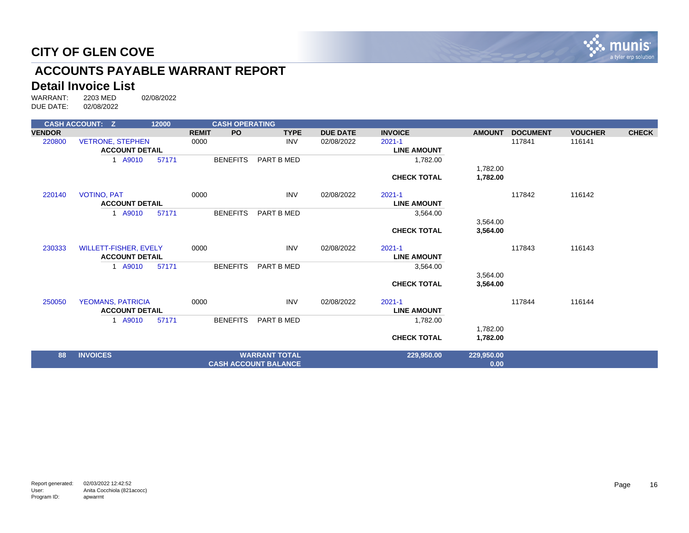

# **ACCOUNTS PAYABLE WARRANT REPORT**

# **Detail Invoice List**<br>WARRANT: 2203 MED

|               | <b>CASH ACCOUNT: Z</b>   | 12000 |              | <b>CASH OPERATING</b> |                             |                 |                    |               |                 |                |              |
|---------------|--------------------------|-------|--------------|-----------------------|-----------------------------|-----------------|--------------------|---------------|-----------------|----------------|--------------|
| <b>VENDOR</b> |                          |       | <b>REMIT</b> | <b>PO</b>             | <b>TYPE</b>                 | <b>DUE DATE</b> | <b>INVOICE</b>     | <b>AMOUNT</b> | <b>DOCUMENT</b> | <b>VOUCHER</b> | <b>CHECK</b> |
| 220800        | <b>VETRONE, STEPHEN</b>  |       | 0000         |                       | <b>INV</b>                  | 02/08/2022      | $2021 - 1$         |               | 117841          | 116141         |              |
|               | <b>ACCOUNT DETAIL</b>    |       |              |                       |                             |                 | <b>LINE AMOUNT</b> |               |                 |                |              |
|               | 1 A9010                  | 57171 |              | <b>BENEFITS</b>       | PART B MED                  |                 | 1,782.00           |               |                 |                |              |
|               |                          |       |              |                       |                             |                 |                    | 1,782.00      |                 |                |              |
|               |                          |       |              |                       |                             |                 | <b>CHECK TOTAL</b> | 1,782.00      |                 |                |              |
| 220140        | <b>VOTINO, PAT</b>       |       | 0000         |                       | <b>INV</b>                  | 02/08/2022      | $2021 - 1$         |               | 117842          | 116142         |              |
|               | <b>ACCOUNT DETAIL</b>    |       |              |                       |                             |                 | <b>LINE AMOUNT</b> |               |                 |                |              |
|               | 1 A9010                  | 57171 |              | <b>BENEFITS</b>       | PART B MED                  |                 | 3,564.00           |               |                 |                |              |
|               |                          |       |              |                       |                             |                 |                    | 3,564.00      |                 |                |              |
|               |                          |       |              |                       |                             |                 | <b>CHECK TOTAL</b> | 3,564.00      |                 |                |              |
| 230333        | WILLETT-FISHER, EVELY    |       | 0000         |                       | <b>INV</b>                  | 02/08/2022      | $2021 - 1$         |               | 117843          | 116143         |              |
|               | <b>ACCOUNT DETAIL</b>    |       |              |                       |                             |                 | <b>LINE AMOUNT</b> |               |                 |                |              |
|               | 1 A9010                  | 57171 |              | <b>BENEFITS</b>       | PART B MED                  |                 | 3,564.00           |               |                 |                |              |
|               |                          |       |              |                       |                             |                 |                    | 3,564.00      |                 |                |              |
|               |                          |       |              |                       |                             |                 | <b>CHECK TOTAL</b> | 3,564.00      |                 |                |              |
| 250050        | <b>YEOMANS, PATRICIA</b> |       | 0000         |                       | <b>INV</b>                  | 02/08/2022      | $2021 - 1$         |               | 117844          | 116144         |              |
|               | <b>ACCOUNT DETAIL</b>    |       |              |                       |                             |                 | <b>LINE AMOUNT</b> |               |                 |                |              |
|               | 1 A9010                  | 57171 |              | <b>BENEFITS</b>       | PART B MED                  |                 | 1,782.00           |               |                 |                |              |
|               |                          |       |              |                       |                             |                 |                    | 1,782.00      |                 |                |              |
|               |                          |       |              |                       |                             |                 | <b>CHECK TOTAL</b> | 1,782.00      |                 |                |              |
| 88            | <b>INVOICES</b>          |       |              |                       | <b>WARRANT TOTAL</b>        |                 | 229,950.00         | 229,950.00    |                 |                |              |
|               |                          |       |              |                       | <b>CASH ACCOUNT BALANCE</b> |                 |                    | 0.00          |                 |                |              |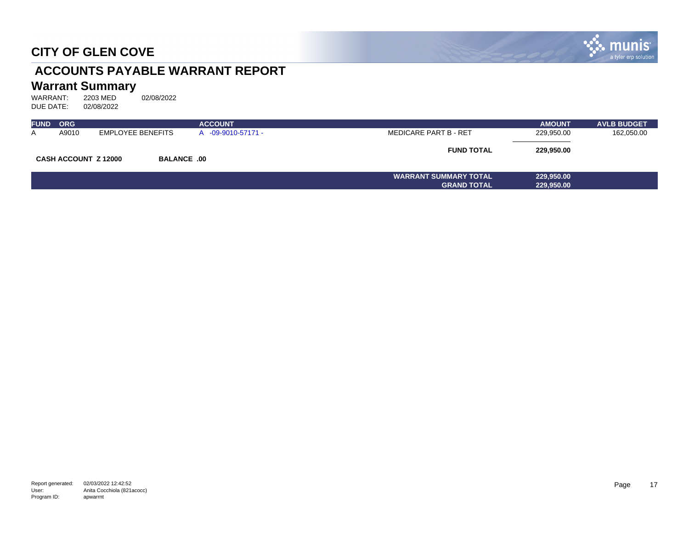

# **ACCOUNTS PAYABLE WARRANT REPORT**

# **Warrant Summary**<br>WARRANT: 2203 MED

| <b>FUND</b> | <b>ORG</b>                  |                    | <b>ACCOUNT</b>   |                              | <b>AMOUNT</b> | <b>AVLB BUDGET</b> |
|-------------|-----------------------------|--------------------|------------------|------------------------------|---------------|--------------------|
| A           | A9010                       | EMPLOYEE BENEFITS  | -09-9010-57171 - | <b>MEDICARE PART B - RET</b> | 229,950.00    | 162,050.00         |
|             | <b>CASH ACCOUNT Z 12000</b> | <b>BALANCE .00</b> |                  | <b>FUND TOTAL</b>            | 229,950.00    |                    |
|             |                             |                    |                  | <b>WARRANT SUMMARY TOTAL</b> | 229,950.00    |                    |
|             |                             |                    |                  | <b>GRAND TOTAL</b>           | 229,950.00    |                    |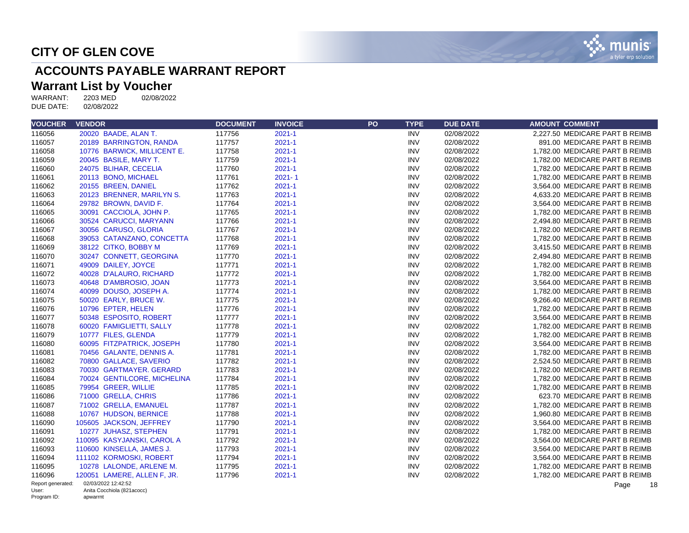

# **ACCOUNTS PAYABLE WARRANT REPORT**

#### **Warrant List by Voucher**

WARRANT: 2203 MED 02/08/2022 DUE DATE: 02/08/2022

| <b>VOUCHER</b>       | <b>VENDOR</b>                          | <b>DOCUMENT</b> | <b>INVOICE</b> | PO | <b>TYPE</b> | <b>DUE DATE</b> | <b>AMOUNT COMMENT</b>          |
|----------------------|----------------------------------------|-----------------|----------------|----|-------------|-----------------|--------------------------------|
| 116056               | 20020 BAADE, ALAN T.                   | 117756          | $2021 - 1$     |    | <b>INV</b>  | 02/08/2022      | 2,227.50 MEDICARE PART B REIMB |
| 116057               | 20189 BARRINGTON, RANDA                | 117757          | $2021 - 1$     |    | <b>INV</b>  | 02/08/2022      | 891.00 MEDICARE PART B REIMB   |
| 116058               | 10776 BARWICK, MILLICENT E.            | 117758          | $2021 - 1$     |    | <b>INV</b>  | 02/08/2022      | 1,782.00 MEDICARE PART B REIMB |
| 116059               | 20045 BASILE, MARY T.                  | 117759          | $2021 - 1$     |    | <b>INV</b>  | 02/08/2022      | 1,782.00 MEDICARE PART B REIMB |
| 116060               | 24075 BLIHAR, CECELIA                  | 117760          | $2021 - 1$     |    | <b>INV</b>  | 02/08/2022      | 1,782.00 MEDICARE PART B REIMB |
| 116061               | 20113 BONO, MICHAEL                    | 117761          | $2021 - 1$     |    | <b>INV</b>  | 02/08/2022      | 1,782.00 MEDICARE PART B REIMB |
| 116062               | 20155 BREEN, DANIEL                    | 117762          | $2021 - 1$     |    | <b>INV</b>  | 02/08/2022      | 3,564.00 MEDICARE PART B REIMB |
| 116063               | 20123 BRENNER, MARILYN S.              | 117763          | $2021 - 1$     |    | <b>INV</b>  | 02/08/2022      | 4,633.20 MEDICARE PART B REIMB |
| 116064               | 29782 BROWN, DAVID F.                  | 117764          | $2021 - 1$     |    | <b>INV</b>  | 02/08/2022      | 3,564.00 MEDICARE PART B REIMB |
| 116065               | 30091 CACCIOLA, JOHN P.                | 117765          | $2021 - 1$     |    | <b>INV</b>  | 02/08/2022      | 1,782.00 MEDICARE PART B REIMB |
| 116066               | 30524 CARUCCI, MARYANN                 | 117766          | $2021 - 1$     |    | <b>INV</b>  | 02/08/2022      | 2,494.80 MEDICARE PART B REIMB |
| 116067               | 30056 CARUSO, GLORIA                   | 117767          | $2021 - 1$     |    | <b>INV</b>  | 02/08/2022      | 1,782.00 MEDICARE PART B REIMB |
| 116068               | 39053 CATANZANO, CONCETTA              | 117768          | $2021 - 1$     |    | <b>INV</b>  | 02/08/2022      | 1,782.00 MEDICARE PART B REIMB |
| 116069               | 38122 CITKO, BOBBY M                   | 117769          | $2021 - 1$     |    | <b>INV</b>  | 02/08/2022      | 3.415.50 MEDICARE PART B REIMB |
| 116070               | 30247 CONNETT, GEORGINA                | 117770          | $2021 - 1$     |    | <b>INV</b>  | 02/08/2022      | 2,494.80 MEDICARE PART B REIMB |
| 116071               | 49009 DAILEY, JOYCE                    | 117771          | $2021 - 1$     |    | <b>INV</b>  | 02/08/2022      | 1,782.00 MEDICARE PART B REIMB |
| 116072               | 40028 D'ALAURO, RICHARD                | 117772          | $2021 - 1$     |    | <b>INV</b>  | 02/08/2022      | 1,782.00 MEDICARE PART B REIMB |
| 116073               | 40648 D'AMBROSIO, JOAN                 | 117773          | $2021 - 1$     |    | <b>INV</b>  | 02/08/2022      | 3,564.00 MEDICARE PART B REIMB |
| 116074               | 40099 DOUSO, JOSEPH A.                 | 117774          | $2021 - 1$     |    | <b>INV</b>  | 02/08/2022      | 1,782.00 MEDICARE PART B REIMB |
| 116075               | 50020 EARLY, BRUCE W.                  | 117775          | $2021 - 1$     |    | <b>INV</b>  | 02/08/2022      | 9,266.40 MEDICARE PART B REIMB |
| 116076               | 10796 EPTER, HELEN                     | 117776          | $2021 - 1$     |    | <b>INV</b>  | 02/08/2022      | 1,782.00 MEDICARE PART B REIMB |
| 116077               | 50348 ESPOSITO, ROBERT                 | 117777          | $2021 - 1$     |    | <b>INV</b>  | 02/08/2022      | 3,564.00 MEDICARE PART B REIMB |
| 116078               | 60020 FAMIGLIETTI, SALLY               | 117778          | $2021 - 1$     |    | <b>INV</b>  | 02/08/2022      | 1,782.00 MEDICARE PART B REIMB |
| 116079               | 10777 FILES, GLENDA                    | 117779          | $2021 - 1$     |    | <b>INV</b>  | 02/08/2022      | 1,782.00 MEDICARE PART B REIMB |
| 116080               | 60095 FITZPATRICK, JOSEPH              | 117780          | $2021 - 1$     |    | <b>INV</b>  | 02/08/2022      | 3,564.00 MEDICARE PART B REIMB |
| 116081               | 70456 GALANTE, DENNIS A.               | 117781          | $2021 - 1$     |    | <b>INV</b>  | 02/08/2022      | 1,782.00 MEDICARE PART B REIMB |
| 116082               | 70800 GALLACE, SAVERIO                 | 117782          | $2021 - 1$     |    | <b>INV</b>  | 02/08/2022      | 2,524.50 MEDICARE PART B REIMB |
| 116083               | 70030 GARTMAYER, GERARD                | 117783          | $2021 - 1$     |    | <b>INV</b>  | 02/08/2022      | 1.782.00 MEDICARE PART B REIMB |
| 116084               | 70024 GENTILCORE, MICHELINA            | 117784          | $2021 - 1$     |    | <b>INV</b>  | 02/08/2022      | 1,782.00 MEDICARE PART B REIMB |
| 116085               | 79954 GREER, WILLIE                    | 117785          | $2021 - 1$     |    | <b>INV</b>  | 02/08/2022      | 1,782.00 MEDICARE PART B REIMB |
| 116086               | 71000 GRELLA, CHRIS                    | 117786          | $2021 - 1$     |    | <b>INV</b>  | 02/08/2022      | 623.70 MEDICARE PART B REIMB   |
| 116087               | 71002 GRELLA, EMANUEL                  | 117787          | $2021 - 1$     |    | <b>INV</b>  | 02/08/2022      | 1.782.00 MEDICARE PART B REIMB |
| 116088               | 10767 HUDSON, BERNICE                  | 117788          | $2021 - 1$     |    | <b>INV</b>  | 02/08/2022      | 1,960.80 MEDICARE PART B REIMB |
| 116090               | 105605 JACKSON, JEFFREY                | 117790          | $2021 - 1$     |    | <b>INV</b>  | 02/08/2022      | 3,564.00 MEDICARE PART B REIMB |
| 116091               | 10277 JUHASZ, STEPHEN                  | 117791          | $2021 - 1$     |    | <b>INV</b>  | 02/08/2022      | 1,782.00 MEDICARE PART B REIMB |
| 116092               | 110095 KASYJANSKI, CAROL A             | 117792          | $2021 - 1$     |    | <b>INV</b>  | 02/08/2022      | 3,564.00 MEDICARE PART B REIMB |
| 116093               | 110600 KINSELLA, JAMES J.              | 117793          | $2021 - 1$     |    | <b>INV</b>  | 02/08/2022      | 3,564.00 MEDICARE PART B REIMB |
| 116094               | 111102 KORMOSKI, ROBERT                | 117794          | $2021 - 1$     |    | <b>INV</b>  | 02/08/2022      | 3,564.00 MEDICARE PART B REIMB |
| 116095               | 10278 LALONDE, ARLENE M.               | 117795          | $2021 - 1$     |    | <b>INV</b>  | 02/08/2022      | 1,782.00 MEDICARE PART B REIMB |
| 116096               | 120051 LAMERE, ALLEN F, JR.            | 117796          | $2021 - 1$     |    | <b>INV</b>  | 02/08/2022      | 1,782.00 MEDICARE PART B REIMB |
| Report generated:    | 02/03/2022 12:42:52                    |                 |                |    |             |                 | Page<br>18                     |
| User:<br>Program ID: | Anita Cocchiola (821acocc)<br>apwarrnt |                 |                |    |             |                 |                                |

Program ID: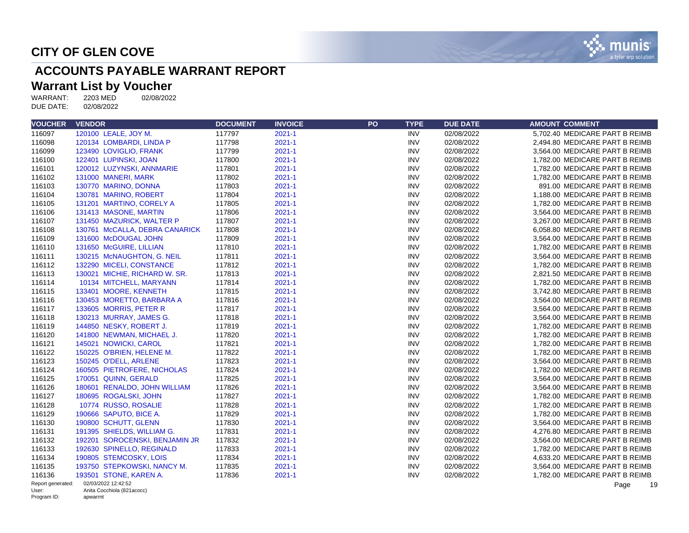

# **ACCOUNTS PAYABLE WARRANT REPORT**

#### **Warrant List by Voucher**

| <b>VOUCHER</b>       | <b>VENDOR</b>                          | <b>DOCUMENT</b> | <b>INVOICE</b> | PO | <b>TYPE</b> | <b>DUE DATE</b> | <b>AMOUNT COMMENT</b>          |
|----------------------|----------------------------------------|-----------------|----------------|----|-------------|-----------------|--------------------------------|
| 116097               | 120100 LEALE, JOY M.                   | 117797          | $2021 - 1$     |    | <b>INV</b>  | 02/08/2022      | 5,702.40 MEDICARE PART B REIMB |
| 116098               | 120134 LOMBARDI, LINDA P               | 117798          | $2021 - 1$     |    | <b>INV</b>  | 02/08/2022      | 2,494.80 MEDICARE PART B REIMB |
| 116099               | 123490 LOVIGLIO, FRANK                 | 117799          | $2021 - 1$     |    | <b>INV</b>  | 02/08/2022      | 3,564.00 MEDICARE PART B REIMB |
| 116100               | 122401 LUPINSKI, JOAN                  | 117800          | $2021 - 1$     |    | <b>INV</b>  | 02/08/2022      | 1,782.00 MEDICARE PART B REIMB |
| 116101               | 120012 LUZYNSKI, ANNMARIE              | 117801          | $2021 - 1$     |    | <b>INV</b>  | 02/08/2022      | 1,782.00 MEDICARE PART B REIMB |
| 116102               | 131000 MANERI, MARK                    | 117802          | $2021 - 1$     |    | <b>INV</b>  | 02/08/2022      | 1,782.00 MEDICARE PART B REIMB |
| 116103               | 130770 MARINO, DONNA                   | 117803          | $2021 - 1$     |    | <b>INV</b>  | 02/08/2022      | 891.00 MEDICARE PART B REIMB   |
| 116104               | 130781 MARINO, ROBERT                  | 117804          | $2021 - 1$     |    | <b>INV</b>  | 02/08/2022      | 1,188.00 MEDICARE PART B REIMB |
| 116105               | 131201 MARTINO, CORELY A               | 117805          | $2021 - 1$     |    | <b>INV</b>  | 02/08/2022      | 1,782.00 MEDICARE PART B REIMB |
| 116106               | 131413 MASONE, MARTIN                  | 117806          | $2021 - 1$     |    | <b>INV</b>  | 02/08/2022      | 3,564.00 MEDICARE PART B REIMB |
| 116107               | 131450 MAZURICK, WALTER P              | 117807          | $2021 - 1$     |    | <b>INV</b>  | 02/08/2022      | 3,267.00 MEDICARE PART B REIMB |
| 116108               | 130761 McCALLA, DEBRA CANARICK         | 117808          | $2021 - 1$     |    | <b>INV</b>  | 02/08/2022      | 6,058.80 MEDICARE PART B REIMB |
| 116109               | 131600 McDOUGAL JOHN                   | 117809          | $2021 - 1$     |    | <b>INV</b>  | 02/08/2022      | 3,564.00 MEDICARE PART B REIMB |
| 116110               | 131650 McGUIRE, LILLIAN                | 117810          | $2021 - 1$     |    | <b>INV</b>  | 02/08/2022      | 1,782.00 MEDICARE PART B REIMB |
| 116111               | 130215 McNAUGHTON, G. NEIL             | 117811          | $2021 - 1$     |    | <b>INV</b>  | 02/08/2022      | 3,564.00 MEDICARE PART B REIMB |
| 116112               | 132290 MICELI, CONSTANCE               | 117812          | $2021 - 1$     |    | <b>INV</b>  | 02/08/2022      | 1,782.00 MEDICARE PART B REIMB |
| 116113               | 130021 MICHIE, RICHARD W. SR.          | 117813          | $2021 - 1$     |    | <b>INV</b>  | 02/08/2022      | 2,821.50 MEDICARE PART B REIMB |
| 116114               | 10134 MITCHELL, MARYANN                | 117814          | $2021 - 1$     |    | <b>INV</b>  | 02/08/2022      | 1,782.00 MEDICARE PART B REIMB |
| 116115               | 133401 MOORE, KENNETH                  | 117815          | $2021 - 1$     |    | <b>INV</b>  | 02/08/2022      | 3,742.80 MEDICARE PART B REIMB |
| 116116               | 130453 MORETTO, BARBARA A              | 117816          | $2021 - 1$     |    | <b>INV</b>  | 02/08/2022      | 3,564.00 MEDICARE PART B REIMB |
| 116117               | 133605 MORRIS, PETER R                 | 117817          | $2021 - 1$     |    | <b>INV</b>  | 02/08/2022      | 3,564.00 MEDICARE PART B REIMB |
| 116118               | 130213 MURRAY, JAMES G.                | 117818          | $2021 - 1$     |    | <b>INV</b>  | 02/08/2022      | 3,564.00 MEDICARE PART B REIMB |
| 116119               | 144850 NESKY, ROBERT J.                | 117819          | $2021 - 1$     |    | <b>INV</b>  | 02/08/2022      | 1,782.00 MEDICARE PART B REIMB |
| 116120               | 141800 NEWMAN, MICHAEL J.              | 117820          | $2021 - 1$     |    | <b>INV</b>  | 02/08/2022      | 1,782.00 MEDICARE PART B REIMB |
| 116121               | 145021 NOWICKI, CAROL                  | 117821          | $2021 - 1$     |    | <b>INV</b>  | 02/08/2022      | 1,782.00 MEDICARE PART B REIMB |
| 116122               | 150225 O'BRIEN, HELENE M.              | 117822          | $2021 - 1$     |    | <b>INV</b>  | 02/08/2022      | 1.782.00 MEDICARE PART B REIMB |
| 116123               | 150245 O'DELL, ARLENE                  | 117823          | $2021 - 1$     |    | <b>INV</b>  | 02/08/2022      | 3,564.00 MEDICARE PART B REIMB |
| 116124               | 160505 PIETROFERE, NICHOLAS            | 117824          | $2021 - 1$     |    | <b>INV</b>  | 02/08/2022      | 1,782.00 MEDICARE PART B REIMB |
| 116125               | 170051 QUINN, GERALD                   | 117825          | $2021 - 1$     |    | <b>INV</b>  | 02/08/2022      | 3,564.00 MEDICARE PART B REIMB |
| 116126               | 180601 RENALDO, JOHN WILLIAM           | 117826          | $2021 - 1$     |    | <b>INV</b>  | 02/08/2022      | 3,564.00 MEDICARE PART B REIMB |
| 116127               | 180695 ROGALSKI, JOHN                  | 117827          | $2021 - 1$     |    | <b>INV</b>  | 02/08/2022      | 1,782.00 MEDICARE PART B REIMB |
| 116128               | 10774 RUSSO, ROSALIE                   | 117828          | $2021 - 1$     |    | <b>INV</b>  | 02/08/2022      | 1,782.00 MEDICARE PART B REIMB |
| 116129               | 190666 SAPUTO, BICE A.                 | 117829          | $2021 - 1$     |    | <b>INV</b>  | 02/08/2022      | 1,782.00 MEDICARE PART B REIMB |
| 116130               | 190800 SCHUTT, GLENN                   | 117830          | $2021 - 1$     |    | <b>INV</b>  | 02/08/2022      | 3,564.00 MEDICARE PART B REIMB |
| 116131               | 191395 SHIELDS, WILLIAM G.             | 117831          | $2021 - 1$     |    | <b>INV</b>  | 02/08/2022      | 4,276.80 MEDICARE PART B REIMB |
| 116132               | 192201 SOROCENSKI, BENJAMIN JR         | 117832          | $2021 - 1$     |    | <b>INV</b>  | 02/08/2022      | 3,564.00 MEDICARE PART B REIMB |
| 116133               | 192630 SPINELLO, REGINALD              | 117833          | $2021 - 1$     |    | <b>INV</b>  | 02/08/2022      | 1,782.00 MEDICARE PART B REIMB |
| 116134               | 190805 STEMCOSKY, LOIS                 | 117834          | $2021 - 1$     |    | <b>INV</b>  | 02/08/2022      | 4,633.20 MEDICARE PART B REIMB |
| 116135               | 193750 STEPKOWSKI, NANCY M.            | 117835          | $2021 - 1$     |    | <b>INV</b>  | 02/08/2022      | 3,564.00 MEDICARE PART B REIMB |
| 116136               | 193501 STONE, KAREN A.                 | 117836          | $2021 - 1$     |    | <b>INV</b>  | 02/08/2022      | 1,782.00 MEDICARE PART B REIMB |
| Report generated:    | 02/03/2022 12:42:52                    |                 |                |    |             |                 | Page<br>19                     |
| User:<br>Program ID: | Anita Cocchiola (821acocc)<br>apwarrnt |                 |                |    |             |                 |                                |